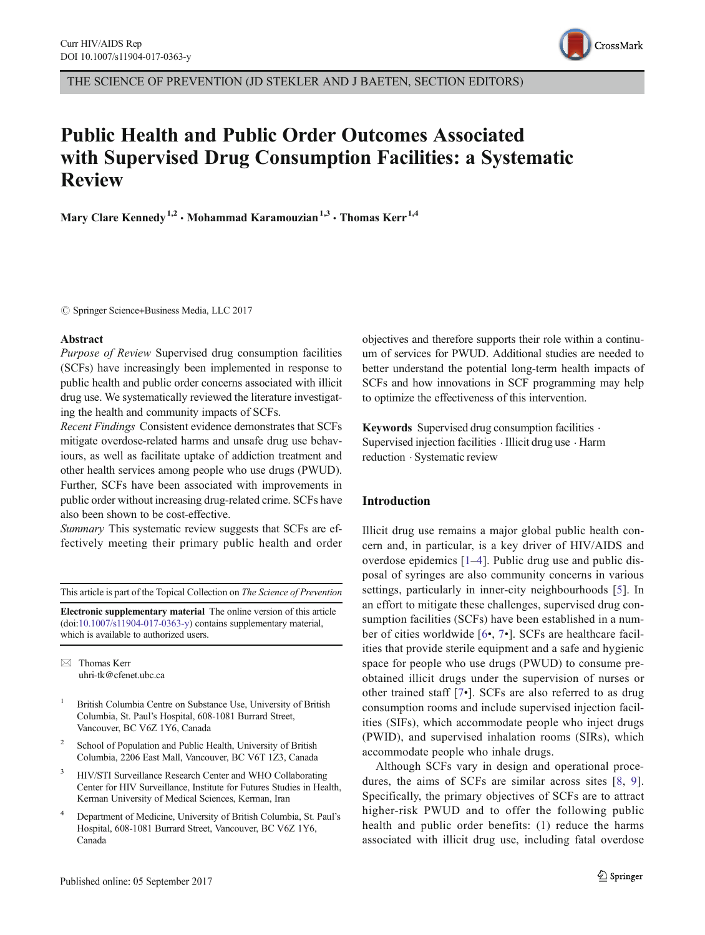

THE SCIENCE OF PREVENTION (JD STEKLER AND J BAETEN, SECTION EDITORS)

# Public Health and Public Order Outcomes Associated with Supervised Drug Consumption Facilities: a Systematic Review

Mary Clare Kennedy<sup>1,2</sup>  $\cdot$  Mohammad Karamouzian<sup>1,3</sup>  $\cdot$  Thomas Kerr<sup>1,4</sup>

 $\oslash$  Springer Science+Business Media, LLC 2017

### Abstract

Purpose of Review Supervised drug consumption facilities (SCFs) have increasingly been implemented in response to public health and public order concerns associated with illicit drug use. We systematically reviewed the literature investigating the health and community impacts of SCFs.

Recent Findings Consistent evidence demonstrates that SCFs mitigate overdose-related harms and unsafe drug use behaviours, as well as facilitate uptake of addiction treatment and other health services among people who use drugs (PWUD). Further, SCFs have been associated with improvements in public order without increasing drug-related crime. SCFs have also been shown to be cost-effective.

Summary This systematic review suggests that SCFs are effectively meeting their primary public health and order

This article is part of the Topical Collection on The Science of Prevention

Electronic supplementary material The online version of this article (doi[:10.1007/s11904-017-0363-y\)](http://dx.doi.org/10.1007/s11904-017-0363-y) contains supplementary material, which is available to authorized users.

 $\boxtimes$  Thomas Kerr [uhri-tk@cfenet.ubc.ca](mailto:uhri-k@cfenet.ubc.ca)

- <sup>1</sup> British Columbia Centre on Substance Use, University of British Columbia, St. Paul's Hospital, 608-1081 Burrard Street, Vancouver, BC V6Z 1Y6, Canada
- <sup>2</sup> School of Population and Public Health, University of British Columbia, 2206 East Mall, Vancouver, BC V6T 1Z3, Canada
- <sup>3</sup> HIV/STI Surveillance Research Center and WHO Collaborating Center for HIV Surveillance, Institute for Futures Studies in Health, Kerman University of Medical Sciences, Kerman, Iran
- <sup>4</sup> Department of Medicine, University of British Columbia, St. Paul's Hospital, 608-1081 Burrard Street, Vancouver, BC V6Z 1Y6, Canada

objectives and therefore supports their role within a continuum of services for PWUD. Additional studies are needed to better understand the potential long-term health impacts of SCFs and how innovations in SCF programming may help to optimize the effectiveness of this intervention.

Keywords Supervised drug consumption facilities . Supervised injection facilities . Illicit drug use . Harm reduction . Systematic review

### Introduction

Illicit drug use remains a major global public health concern and, in particular, is a key driver of HIV/AIDS and overdose epidemics [[1](#page-19-0)–[4](#page-19-0)]. Public drug use and public disposal of syringes are also community concerns in various settings, particularly in inner-city neighbourhoods [[5](#page-19-0)]. In an effort to mitigate these challenges, supervised drug consumption facilities (SCFs) have been established in a number of cities worldwide [[6](#page-19-0)•, [7](#page-19-0)•]. SCFs are healthcare facilities that provide sterile equipment and a safe and hygienic space for people who use drugs (PWUD) to consume preobtained illicit drugs under the supervision of nurses or other trained staff [[7](#page-19-0)•]. SCFs are also referred to as drug consumption rooms and include supervised injection facilities (SIFs), which accommodate people who inject drugs (PWID), and supervised inhalation rooms (SIRs), which accommodate people who inhale drugs.

Although SCFs vary in design and operational procedures, the aims of SCFs are similar across sites [[8](#page-19-0), [9](#page-19-0)]. Specifically, the primary objectives of SCFs are to attract higher-risk PWUD and to offer the following public health and public order benefits: (1) reduce the harms associated with illicit drug use, including fatal overdose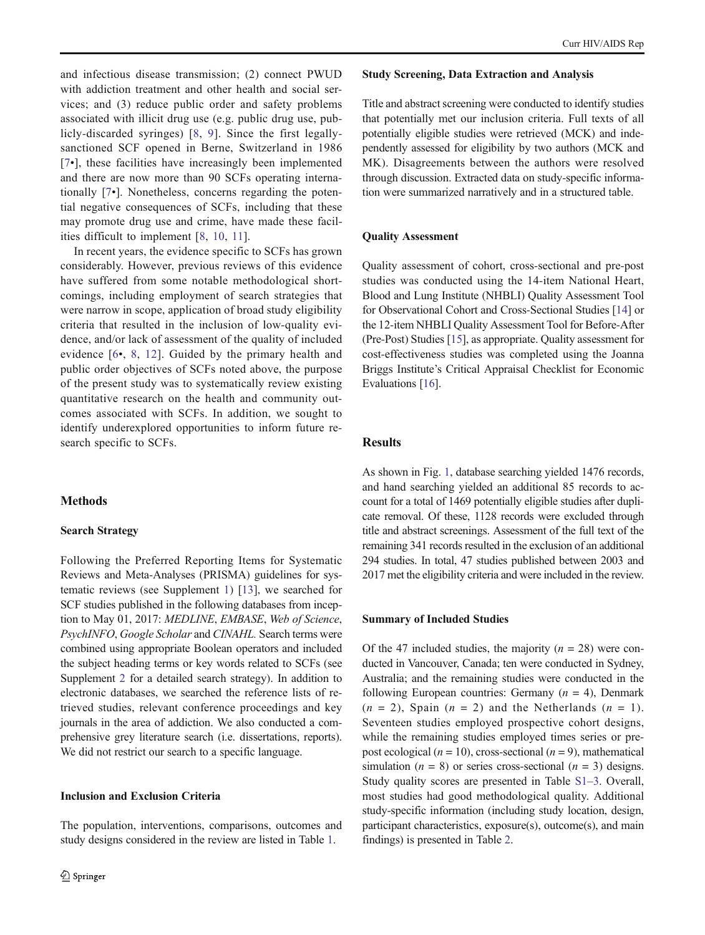and infectious disease transmission; (2) connect PWUD with addiction treatment and other health and social services; and (3) reduce public order and safety problems associated with illicit drug use (e.g. public drug use, publicly-discarded syringes) [\[8](#page-19-0), [9\]](#page-19-0). Since the first legallysanctioned SCF opened in Berne, Switzerland in 1986 [\[7](#page-19-0)•], these facilities have increasingly been implemented and there are now more than 90 SCFs operating internationally [\[7](#page-19-0)•]. Nonetheless, concerns regarding the potential negative consequences of SCFs, including that these may promote drug use and crime, have made these facilities difficult to implement [[8,](#page-19-0) [10,](#page-19-0) [11\]](#page-19-0).

In recent years, the evidence specific to SCFs has grown considerably. However, previous reviews of this evidence have suffered from some notable methodological shortcomings, including employment of search strategies that were narrow in scope, application of broad study eligibility criteria that resulted in the inclusion of low-quality evidence, and/or lack of assessment of the quality of included evidence [[6](#page-19-0)•, [8,](#page-19-0) [12\]](#page-19-0). Guided by the primary health and public order objectives of SCFs noted above, the purpose of the present study was to systematically review existing quantitative research on the health and community outcomes associated with SCFs. In addition, we sought to identify underexplored opportunities to inform future research specific to SCFs.

### Methods

### Search Strategy

Following the Preferred Reporting Items for Systematic Reviews and Meta-Analyses (PRISMA) guidelines for systematic reviews (see Supplement 1) [\[13](#page-19-0)], we searched for SCF studies published in the following databases from inception to May 01, 2017: MEDLINE, EMBASE, Web of Science, PsychINFO, Google Scholar and CINAHL. Search terms were combined using appropriate Boolean operators and included the subject heading terms or key words related to SCFs (see Supplement 2 for a detailed search strategy). In addition to electronic databases, we searched the reference lists of retrieved studies, relevant conference proceedings and key journals in the area of addiction. We also conducted a comprehensive grey literature search (i.e. dissertations, reports). We did not restrict our search to a specific language.

### Inclusion and Exclusion Criteria

The population, interventions, comparisons, outcomes and study designs considered in the review are listed in Table [1](#page-2-0).

#### Study Screening, Data Extraction and Analysis

Title and abstract screening were conducted to identify studies that potentially met our inclusion criteria. Full texts of all potentially eligible studies were retrieved (MCK) and independently assessed for eligibility by two authors (MCK and MK). Disagreements between the authors were resolved through discussion. Extracted data on study-specific information were summarized narratively and in a structured table.

### Quality Assessment

Quality assessment of cohort, cross-sectional and pre-post studies was conducted using the 14-item National Heart, Blood and Lung Institute (NHBLI) Quality Assessment Tool for Observational Cohort and Cross-Sectional Studies [[14](#page-19-0)] or the 12-item NHBLI Quality Assessment Tool for Before-After (Pre-Post) Studies [[15\]](#page-19-0), as appropriate. Quality assessment for cost-effectiveness studies was completed using the Joanna Briggs Institute's Critical Appraisal Checklist for Economic Evaluations [[16](#page-19-0)].

### Results

As shown in Fig. [1](#page-2-0), database searching yielded 1476 records, and hand searching yielded an additional 85 records to account for a total of 1469 potentially eligible studies after duplicate removal. Of these, 1128 records were excluded through title and abstract screenings. Assessment of the full text of the remaining 341 records resulted in the exclusion of an additional 294 studies. In total, 47 studies published between 2003 and 2017 met the eligibility criteria and were included in the review.

#### Summary of Included Studies

Of the 47 included studies, the majority  $(n = 28)$  were conducted in Vancouver, Canada; ten were conducted in Sydney, Australia; and the remaining studies were conducted in the following European countries: Germany  $(n = 4)$ , Denmark  $(n = 2)$ , Spain  $(n = 2)$  and the Netherlands  $(n = 1)$ . Seventeen studies employed prospective cohort designs, while the remaining studies employed times series or prepost ecological ( $n = 10$ ), cross-sectional ( $n = 9$ ), mathematical simulation ( $n = 8$ ) or series cross-sectional ( $n = 3$ ) designs. Study quality scores are presented in Table S1–3. Overall, most studies had good methodological quality. Additional study-specific information (including study location, design, participant characteristics, exposure(s), outcome(s), and main findings) is presented in Table [2](#page-3-0).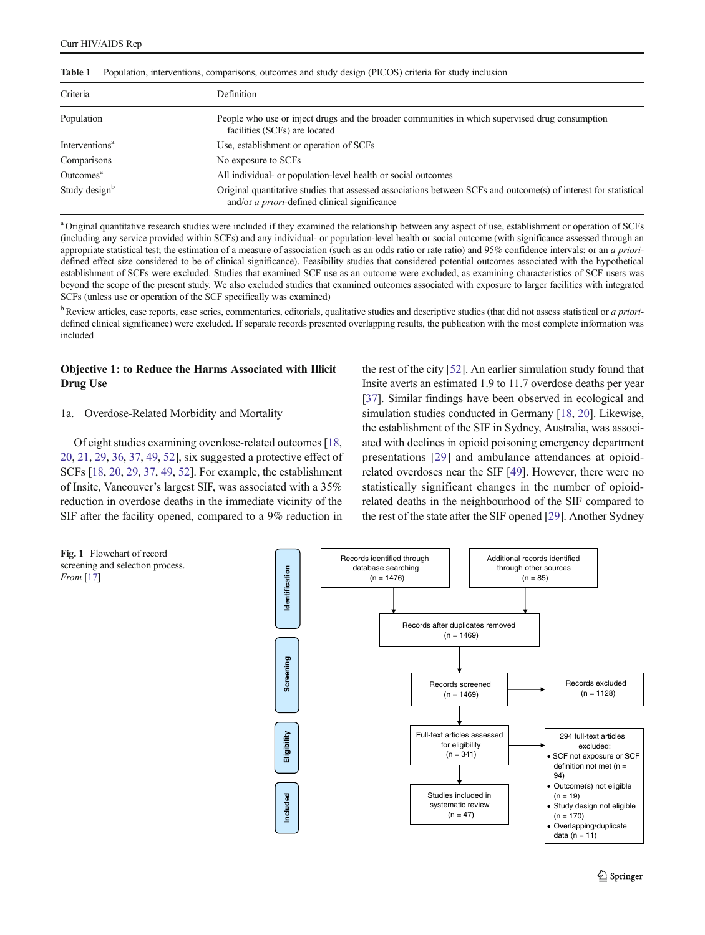| Criteria                   | Definition                                                                                                                                                                |
|----------------------------|---------------------------------------------------------------------------------------------------------------------------------------------------------------------------|
| Population                 | People who use or inject drugs and the broader communities in which supervised drug consumption<br>facilities (SCFs) are located                                          |
| Interventions <sup>a</sup> | Use, establishment or operation of SCFs                                                                                                                                   |
| Comparisons                | No exposure to SCFs                                                                                                                                                       |
| Outcomes <sup>a</sup>      | All individual- or population-level health or social outcomes                                                                                                             |
| Study design <sup>b</sup>  | Original quantitative studies that assessed associations between SCFs and outcome(s) of interest for statistical<br>and/or <i>a priori</i> -defined clinical significance |

<span id="page-2-0"></span>Table 1 Population, interventions, comparisons, outcomes and study design (PICOS) criteria for study inclusion

<sup>a</sup> Original quantitative research studies were included if they examined the relationship between any aspect of use, establishment or operation of SCFs (including any service provided within SCFs) and any individual- or population-level health or social outcome (with significance assessed through an appropriate statistical test; the estimation of a measure of association (such as an odds ratio or rate ratio) and 95% confidence intervals; or an a prioridefined effect size considered to be of clinical significance). Feasibility studies that considered potential outcomes associated with the hypothetical establishment of SCFs were excluded. Studies that examined SCF use as an outcome were excluded, as examining characteristics of SCF users was beyond the scope of the present study. We also excluded studies that examined outcomes associated with exposure to larger facilities with integrated SCFs (unless use or operation of the SCF specifically was examined)

 $\rm^b$  Review articles, case reports, case series, commentaries, editorials, qualitative studies and descriptive studies (that did not assess statistical or *a priori*defined clinical significance) were excluded. If separate records presented overlapping results, the publication with the most complete information was included

### Objective 1: to Reduce the Harms Associated with Illicit Drug Use

### 1a. Overdose-Related Morbidity and Mortality

Of eight studies examining overdose-related outcomes [[18,](#page-19-0) [20,](#page-19-0) [21](#page-19-0), [29,](#page-20-0) [36](#page-20-0), [37,](#page-20-0) [49](#page-20-0), [52\]](#page-20-0), six suggested a protective effect of SCFs [[18](#page-19-0), [20](#page-19-0), [29,](#page-20-0) [37](#page-20-0), [49,](#page-20-0) [52](#page-20-0)]. For example, the establishment of Insite, Vancouver's largest SIF, was associated with a 35% reduction in overdose deaths in the immediate vicinity of the SIF after the facility opened, compared to a 9% reduction in the rest of the city [\[52](#page-20-0)]. An earlier simulation study found that Insite averts an estimated 1.9 to 11.7 overdose deaths per year [\[37](#page-20-0)]. Similar findings have been observed in ecological and simulation studies conducted in Germany [[18](#page-19-0), [20](#page-19-0)]. Likewise, the establishment of the SIF in Sydney, Australia, was associated with declines in opioid poisoning emergency department presentations [\[29\]](#page-20-0) and ambulance attendances at opioidrelated overdoses near the SIF [\[49](#page-20-0)]. However, there were no statistically significant changes in the number of opioidrelated deaths in the neighbourhood of the SIF compared to the rest of the state after the SIF opened [\[29](#page-20-0)]. Another Sydney



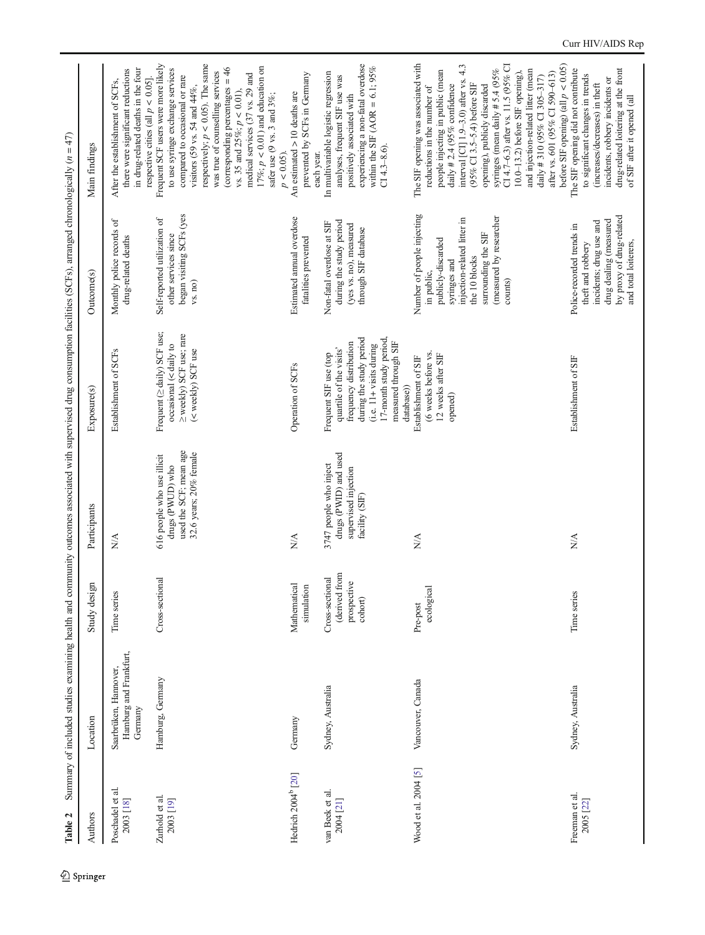<span id="page-3-0"></span>

| Authors                        | Location                                                   | Study design                                               | Participants                                                                                       | Exposure(s)                                                                                                                                                                                     | Outcome(s)                                                                                                                                                                                  | Main findings                                                                                                                                                                                                                                                                                                                                                                                                                                                         |
|--------------------------------|------------------------------------------------------------|------------------------------------------------------------|----------------------------------------------------------------------------------------------------|-------------------------------------------------------------------------------------------------------------------------------------------------------------------------------------------------|---------------------------------------------------------------------------------------------------------------------------------------------------------------------------------------------|-----------------------------------------------------------------------------------------------------------------------------------------------------------------------------------------------------------------------------------------------------------------------------------------------------------------------------------------------------------------------------------------------------------------------------------------------------------------------|
| Poschadel et al.<br>2003 [18]  | Hamburg and Frankfurt,<br>Saarbrüken, Hannover,<br>Gernany | Time series                                                | N/A                                                                                                | Establishment of SCFs                                                                                                                                                                           | Monthly police records of<br>drug-related deaths                                                                                                                                            | in drug-related deaths in the four<br>there were significant reductions<br>respective cities (all $p < 0.05$ ].<br>After the establishment of SCFs,                                                                                                                                                                                                                                                                                                                   |
| Zurhold et al.<br>2003 [19]    | Hamburg, Germany                                           | Cross-sectional                                            | used the SCF; mean age<br>32.6 years; 20% female<br>616 people who use illicit<br>drugs (PWUD) who | Frequent ( $\ge$ daily) SCF use;<br>≥ weekly) SCF use; rare<br>occasional (< daily to<br>(< weekly) SCF use                                                                                     | began visiting SCFs (yes<br>Self-reported utilization of<br>other services since<br>vs. no)                                                                                                 | Frequent SCF users were more likely<br>respectively; $p < 0.05$ ). The same<br>17%; $p < 0.01$ ) and education on<br>(corresponding percentages $= 46$<br>to use syringe exchange services<br>was true of counselling services<br>medical services (37 vs. 29 and<br>compared to occasional or rare<br>visitors (59 vs. 54 and $44\%$ ,<br>vs. 35 and $25\%$ ; $p < 0.01$ ),<br>safer use (9 vs. 3 and 3%;                                                            |
| Hedrich 2004 <sup>b</sup> [20] | Germany                                                    | Mathematical<br>simulation                                 | $\frac{1}{2}$                                                                                      | Operation of SCFs                                                                                                                                                                               | Estimated annual overdose<br>fatalities prevented                                                                                                                                           | prevented by SCFs in Germany<br>An estimated $> 10$ deaths are<br>$p < 0.05$ ).                                                                                                                                                                                                                                                                                                                                                                                       |
| van Beek et al.<br>2004 [21]   | Sydney, Australia                                          | (derived from<br>Cross-sectional<br>prospective<br>cohort) | drugs (PWID) and used<br>3747 people who inject<br>supervised injection<br>facility (SIF)          | during the study period<br>17-month study period<br>measured through SIF<br>frequency distribution<br>(i.e. 11+ visits during<br>quartile of the visits'<br>Frequent SIF use (top<br>database)) | during the study period<br>Non-fatal overdose at SIF<br>(yes vs. no), measured<br>through SIF database                                                                                      | experiencing a non-fatal overdose<br>within the SIF (AOR = 6.1; $95\%$<br>In multivariable logistic regression<br>analyses, frequent SIF use was<br>positively associated with<br>$C14.3 - 8.6$ ).<br>each year.                                                                                                                                                                                                                                                      |
| Wood et al. 2004 [5]           | Vancouver, Canada                                          | ecological<br>Pre-post                                     | $\frac{\triangleleft}{\triangle}$                                                                  | (6 weeks before vs.<br>12 weeks after SIF<br>Establishment of SIF<br>opened)                                                                                                                    | Number of people injecting<br>(measured by researcher<br>injection-related litter in<br>surrounding the SIF<br>publicly-discarded<br>the 10 blocks<br>syringes and<br>in public,<br>counts) | The SIF opening was associated with<br>CI 4.7-6.3) after vs. 11.5 (95% CI<br>interval [CI] 1.9-3.0) after vs. 4.3<br>syringes (mean daily #5.4 $(95\%$<br>and injection-related litter (mean<br>people injecting in public (mean<br>$10.0-13.2$ ) before SIF opening),<br>after vs. 601 (95% CI 590-613)<br>daily # 310 (95% CI 305-317)<br>(95% CI 3.5-5.4) before SIF<br>daily # 2.4 (95% confidence<br>opening), publicly discarded<br>reductions in the number of |
| Freeman et al.<br>2005 [22]    | Sydney, Australia                                          | Time series                                                | NA                                                                                                 | Establishment of SIF                                                                                                                                                                            | by proxy of drug-related<br>drug dealing (measured<br>incidents; drug use and<br>Police-recorded trends in<br>and total loiterers,<br>theft and robbery                                     | before SIF opening) (all $p < 0.05$ )<br>The SIF opening did not contribute<br>drug-related loitering at the front<br>to significant changes in trends<br>incidents, robbery incidents or<br>(increases/decreases) in theft<br>of SIF after it opened (all                                                                                                                                                                                                            |

Table 2 Summary of included studies examining health and community outcomes associated with supervised drug consumption facilities (SCFs), arranged chronologically  $(n = 47)$ **Table 2** Summary of included studies examining health and community outcomes associated with supervised drug consumption facilities (SCFs), arranged chronologically (n = 47)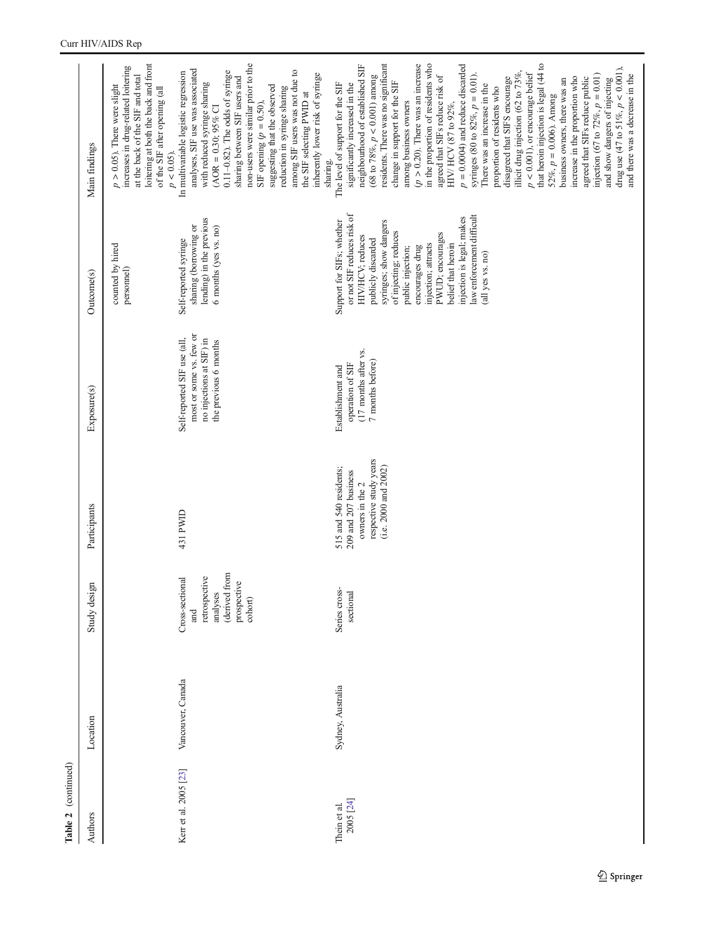| Authors                   | Location          | Study design                                                                                   | Participants                                                                                                        | Exposure(s)                                                                                                 | Outcome(s)                                                                                                                                                                                                                                                                                                                                  | Main findings                                                                                                                                                                                                                                                                                                                                                                                                                                                                                                                                                                                                                                                                                                                                                                                                                                                                                                                                                              |
|---------------------------|-------------------|------------------------------------------------------------------------------------------------|---------------------------------------------------------------------------------------------------------------------|-------------------------------------------------------------------------------------------------------------|---------------------------------------------------------------------------------------------------------------------------------------------------------------------------------------------------------------------------------------------------------------------------------------------------------------------------------------------|----------------------------------------------------------------------------------------------------------------------------------------------------------------------------------------------------------------------------------------------------------------------------------------------------------------------------------------------------------------------------------------------------------------------------------------------------------------------------------------------------------------------------------------------------------------------------------------------------------------------------------------------------------------------------------------------------------------------------------------------------------------------------------------------------------------------------------------------------------------------------------------------------------------------------------------------------------------------------|
|                           |                   |                                                                                                |                                                                                                                     |                                                                                                             | counted by hired<br>personnel)                                                                                                                                                                                                                                                                                                              | loitering at both the back and front<br>increases in drug-related loitering<br>at the back of the SIF and total<br>$p > 0.05$ ). There were slight<br>of the SIF after opening (all<br>$p < 0.05$ ).                                                                                                                                                                                                                                                                                                                                                                                                                                                                                                                                                                                                                                                                                                                                                                       |
| Kerr et al. 2005 [23]     | Vancouver, Canada | (derived from<br>retrospective<br>Cross-sectional<br>prospective<br>analyses<br>cohort)<br>and | 431 PWID                                                                                                            | most or some vs. few or<br>Self-reported SIF use (all,<br>no injections at SIF) in<br>the previous 6 months | lending) in the previous<br>sharing (borrowing or<br>6 months (yes vs. no)<br>Self-reported syringe                                                                                                                                                                                                                                         | non-users were similar prior to the<br>analyses, SIF use was associated<br>among SIF users was not due to<br>$0.11-0.82$ ). The odds of syringe<br>In multivariable logistic regression<br>inherently lower risk of syringe<br>sharing between SIF users and<br>with reduced syringe sharing<br>suggesting that the observed<br>reduction in syringe sharing<br>the SIF selecting PWID at<br>SIF opening $(p = 0.50)$ ,<br>$(AOR = 0.30; 95\% \text{ Cl}$<br>sharing.                                                                                                                                                                                                                                                                                                                                                                                                                                                                                                      |
| 2005 [24]<br>Thein et al. | Sydney, Australia | Series cross-<br>sectional                                                                     | respective study years<br>(i.e. 2000 and 2002)<br>515 and 540 residents;<br>209 and 207 business<br>owners in the 2 | (17 months after vs.<br>7 months before)<br>operation of SIF<br>Establishment and                           | or not SIF reduces risk of<br>law enforcement difficult<br>injection is legal; makes<br>Support for SIFs; whether<br>syringes; show dangers<br>of injecting; reduces<br>PWUD; encourages<br>HIV/HCV; reduces<br>publicly discarded<br>injection; attracts<br>belief that heroin<br>encourages drug<br>public injection;<br>(all yes vs. no) | residents. There was no significant<br>in the proportion of residents who<br>$(p > 0.20)$ . There was an increase<br>$p = 0.0004$ ) and reduce discarded<br>that heroin injection is legal (44 to<br>neighbourhood of established SIF<br>drug use (47 to 51%, $p < 0.001$ ),<br>$p < 0.001$ ), or encourage belief<br>illicit drug injection (62 to 73%,<br>syringes (80 to 82%, $p = 0.01$ ).<br>injection (67 to $72\%, p = 0.01$ )<br>and there was a decrease in the<br>(68 to 78%, $p < 0.001$ ) among<br>agreed that SIFs reduce risk of<br>increase in the proportion who<br>disagreed that SIFS encourage<br>agreed that SIFs reduce public<br>and show dangers of injecting<br>business owners, there was an<br>change in support for the SIF<br>The level of support for the SIF<br>significantly increased in the<br>There was an increase in the<br>proportion of residents who<br>$52\%, p = 0.006$ ). Among<br>among business owners<br>HIV/ HCV (87 to 92%, |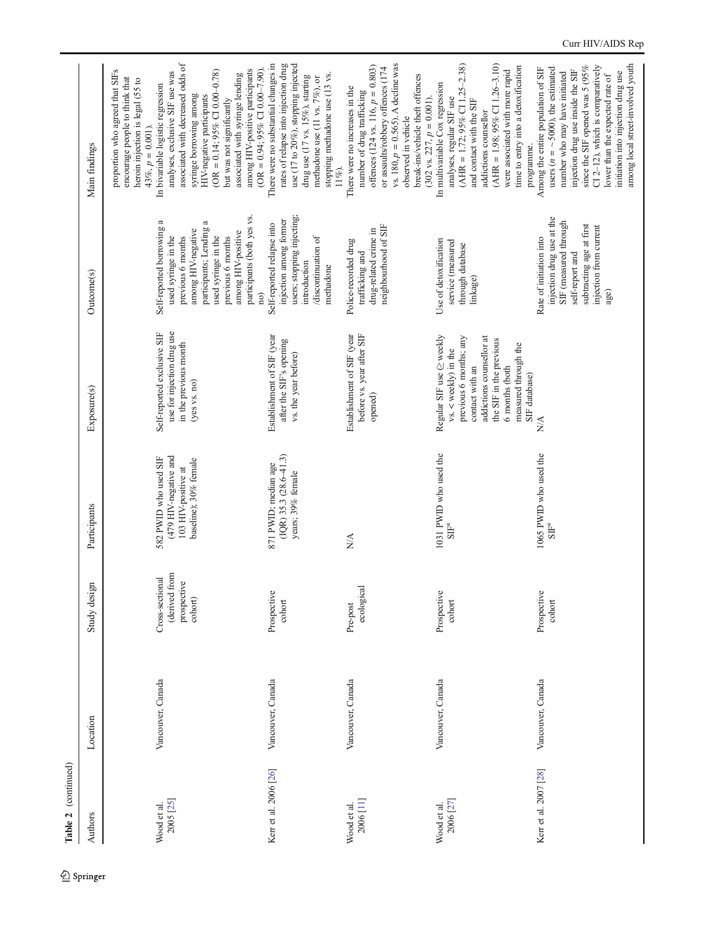| Table 2 (continued)                 |                   |                                                                             |                                                                                                |                                                                                                                                                                                                                         |                                                                                                                                                                                                                               |                                                                                                                                                                                                                                                                                                                                                                                                                                                                                              |
|-------------------------------------|-------------------|-----------------------------------------------------------------------------|------------------------------------------------------------------------------------------------|-------------------------------------------------------------------------------------------------------------------------------------------------------------------------------------------------------------------------|-------------------------------------------------------------------------------------------------------------------------------------------------------------------------------------------------------------------------------|----------------------------------------------------------------------------------------------------------------------------------------------------------------------------------------------------------------------------------------------------------------------------------------------------------------------------------------------------------------------------------------------------------------------------------------------------------------------------------------------|
| Authors                             | Location          | Study design                                                                | Participants                                                                                   | Exposure(s)                                                                                                                                                                                                             | Outcome(s)                                                                                                                                                                                                                    | Main findings                                                                                                                                                                                                                                                                                                                                                                                                                                                                                |
| 2005 <sub>[25]</sub><br>Wood et al. | Vancouver, Canada | (derived from<br>Cross-sectional<br>prospective<br>$\operatorname{cohort})$ | (479 HIV-negative and<br>582 PWID who used SIF<br>baseline); 30% female<br>103 HIV-positive at | use for injection drug use<br>Self-reported exclusive SIF<br>in the previous month<br>(yes vs. no)                                                                                                                      | participants (both yes vs.<br>Self-reported borrowing a<br>participants; Lending a<br>among HIV-negative<br>among HIV-positive<br>used syringe in the<br>used syringe in the<br>previous 6 months<br>previous 6 months<br>no) | associated with decreased odds of<br>(OR = $0.94$ ; $95\%$ CI $0.00-7.90$ ).<br>among HIV-positive participants<br>proportion who agreed that SIFs<br>$(OR = 0.14, 95\% \text{ CI } 0.00 - 0.78)$<br>analyses, exclusive SIF use was<br>associated with syringe lending<br>encourage people to think that<br>heroin injection is legal (55 to<br>In bivariable logistic regression<br>syringe borrowing among<br>HIV-negative participants<br>but was not significantly<br>$43\%, p = 0.001$ |
| Kerr et al. 2006 [26]               | Vancouver, Canada | Prospective<br>cohort                                                       | $(1QR)$ 35.3 $(28.6-41.3)$<br>871 PWID; median age<br>years; 39% female                        | Establishment of SIF (year<br>after the SIF's opening<br>vs. the year before)                                                                                                                                           | users; stopping injecting;<br>injection among former<br>Self-reported relapse into<br>discontinuation of<br>introduction<br>methadone                                                                                         | There were no substantial changes in<br>rates of relapse into injection drug<br>use (17 to 20%), stopping injected<br>stopping methadone use (13 vs.<br>drug use (17 vs. 15%), starting<br>methadone use (11 vs. 7%), or<br>$11\%$ ).                                                                                                                                                                                                                                                        |
| 2006 [11]<br>Wood et al.            | Vancouver, Canada | ecological<br>Pre-post                                                      | $\frac{\triangleleft}{\triangle}$                                                              | before vs. year after SIF<br>Establishment of SIF (year<br>opened)                                                                                                                                                      | neighbourhood of SIF<br>drug-related crime in<br>Police-recorded drug<br>trafficking and                                                                                                                                      | vs. 180, $p = 0.565$ ). A decline was<br>offences (124 vs. 116, $p = 0.803$ )<br>or assaults/robbery offences (174<br>break-ins/vehicle theft offences<br>There were no increases in the<br>number of drug trafficking<br>$(302 \text{ vs. } 227, p = 0.001)$<br>observed in vehicle                                                                                                                                                                                                         |
| 2006 [27]<br>Wood et al.            | Vancouver, Canada | Prospective<br>cohort                                                       | 1031 PWID who used the<br>$\rm{SIF}^a$                                                         | Regular SIF use ( $\ge$ weekly<br>addictions counsellor at<br>previous 6 months; any<br>the SIF in the previous<br>measured through the<br>$vs. <$ weekly) in the<br>contact with an<br>6 months (both<br>SIF database) | Use of detoxification<br>service (measured<br>through database<br>linkage)                                                                                                                                                    | $(AHR = 1.72; 95\% CI 1.25-2.38)$<br>$(AHR = 1.98; 95\% \text{ CI} 1.26-3.10)$<br>time to entry into a detoxification<br>were associated with more rapid<br>In multivariable Cox regression<br>analyses, regular SIF use<br>and contact with the SIF<br>addictions counsellor<br>programme.                                                                                                                                                                                                  |
| Kerr et al. 2007 [28]               | Vancouver, Canada | Prospective<br>cohort                                                       | 1065 PWID who used the<br>$\rm{SIF}^a$                                                         | $\stackrel{\triangle}{\geq}$                                                                                                                                                                                            | injection drug use at the<br>SIF (measured through<br>subtracting age at first<br>injection from current<br>Rate of initiation into<br>self-report and<br>age)                                                                | among local street-involved youth<br>since the SIF opened was 5 (95%<br>CI 2-12), which is comparatively<br>Among the entire population of SIF<br>users ( $n = \sim 5000$ ), the estimated<br>injection drug use inside the SIF<br>number who may have initiated<br>initiation into injection drug use<br>lower than the expected rate of                                                                                                                                                    |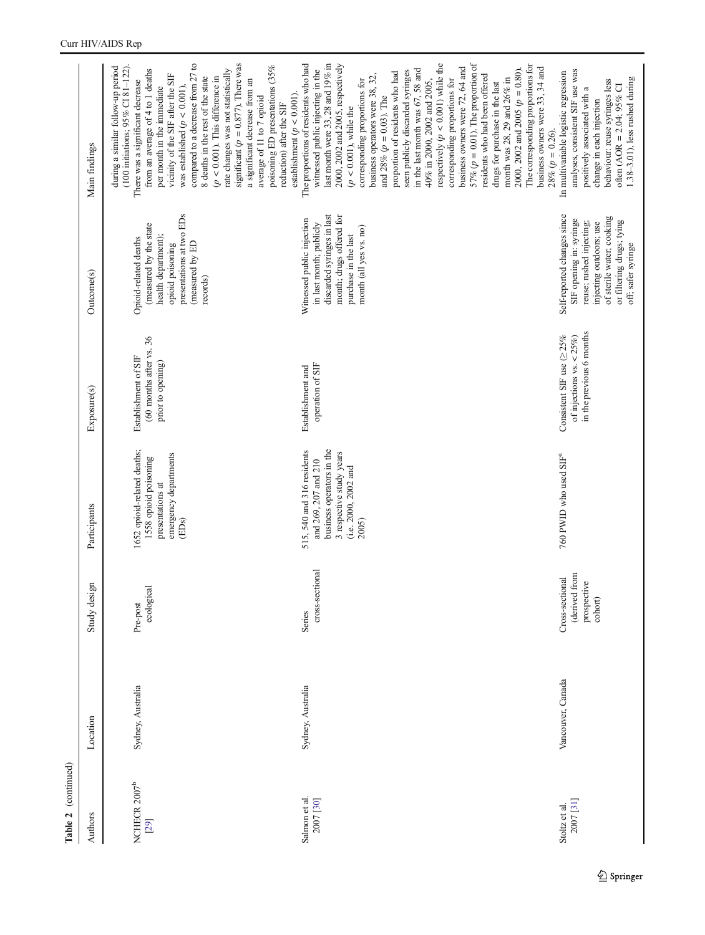| Authors                          | Location          | Study design                                               | Participants                                                                                                                                 | Exposure(s)                                                                                 | Outcome(s)                                                                                                                                                                                    | Main findings                                                                                                                                                                                                                                                                                                                                                                                                                                                                                                                                                                                                                                                                                                                                                                                                                                                     |
|----------------------------------|-------------------|------------------------------------------------------------|----------------------------------------------------------------------------------------------------------------------------------------------|---------------------------------------------------------------------------------------------|-----------------------------------------------------------------------------------------------------------------------------------------------------------------------------------------------|-------------------------------------------------------------------------------------------------------------------------------------------------------------------------------------------------------------------------------------------------------------------------------------------------------------------------------------------------------------------------------------------------------------------------------------------------------------------------------------------------------------------------------------------------------------------------------------------------------------------------------------------------------------------------------------------------------------------------------------------------------------------------------------------------------------------------------------------------------------------|
| NCHECR 2007 <sup>b</sup><br>[29] | Sydney, Australia | ecological<br>Pre-post                                     | 1652 opioid-related deaths;<br>emergency departments<br>1558 opioid poisoning<br>presentations at<br>(EDs)                                   | (60 months after vs. 36<br>Establishment of SIF<br>prior to opening)                        | presentations at two EDs<br>(measured by the state<br>health department);<br>Opioid-related deaths<br>(measured by ED<br>opioid poisoning<br>records)                                         | significant ( $p = 0.877$ ). There was<br>compared to a decrease from 27 to<br>poisoning ED presentations (35%<br>$(100$ initiations; $95\%$ CI 81-122).<br>during a similar follow-up period<br>from an average of 4 to 1 deaths<br>rate changes was not statistically<br>vicinity of the SIF after the SIF<br>8 deaths in the rest of the state<br>$(p < 0.001)$ . This difference in<br>a significant decrease from an<br>There was a significant decrease<br>was established $(p < 0.001)$ ,<br>per month in the immediate<br>average of 11 to 7 opioid                                                                                                                                                                                                                                                                                                       |
| Salmon et al.<br>2007 [30]       | Sydney, Australia | cross-sectional<br>Series                                  | business operators in the<br>515, 540 and 316 residents<br>3 respective study years<br>and 269, 207 and 210<br>(i.e. 2000, 2002 and<br>2005) | operation of SIF<br>Establishment and                                                       | discarded syringes in last<br>month; drugs offered for<br>Witnessed public injection<br>in last month; publicly<br>month (all yes vs. no)<br>purchase in the last                             | 57% ( $p = 0.01$ ). The proportion of<br>respectively $(p < 0.001)$ while the<br>The proportions of residents who had<br>last month were 33, 28 and 19% in<br>The corresponding proportions for<br>2000, 2002 and 2005, respectively<br>business owners were 33, 34 and<br>business owners were 72, 64 and<br>2000, 2002 and 2005 ( $p = 0.80$ ).<br>in the last month was 67, 58 and<br>witnessed public injecting in the<br>seen publicly discarded syringes<br>proportion of residents who had<br>business operators were 38, 32,<br>residents who had been offered<br>corresponding proportions for<br>month was 28, 29 and 26% in<br>40% in 2000, 2002 and 2005,<br>corresponding proportions for<br>drugs for purchase in the last<br>establishment ( $p < 0.001$ ).<br>and 28% $(p = 0.03)$ . The<br>reduction) after the SIF<br>$(p < 0.001)$ , while the |
| 2007 [31]<br>Stoltz et al.       | Vancouver, Canada | (derived from<br>Cross-sectional<br>prospective<br>cohort) | 760 PWID who used SIF <sup>ª</sup>                                                                                                           | in the previous 6 months<br>Consistent SIF use $(\geq 25\%$<br>of injections vs. $< 25\%$ ) | Self-reported changes since<br>of sterile water; cooking<br>SIF opening in: syringe<br>reuse; rushed injecting;<br>or filtering drugs; tying<br>injecting outdoors; use<br>off; safer syringe | analyses, consistent SIF use was<br>In multivariable logistic regression<br>1.38-3.01), less rushed during<br>behaviour: reuse syringes less<br>often (AOR = $2.04$ ; 95% CI<br>positively associated with a<br>change in each injection<br>$28\% (p = 0.26).$                                                                                                                                                                                                                                                                                                                                                                                                                                                                                                                                                                                                    |

### Curr HIV/AIDS Rep

Table 2 (continued)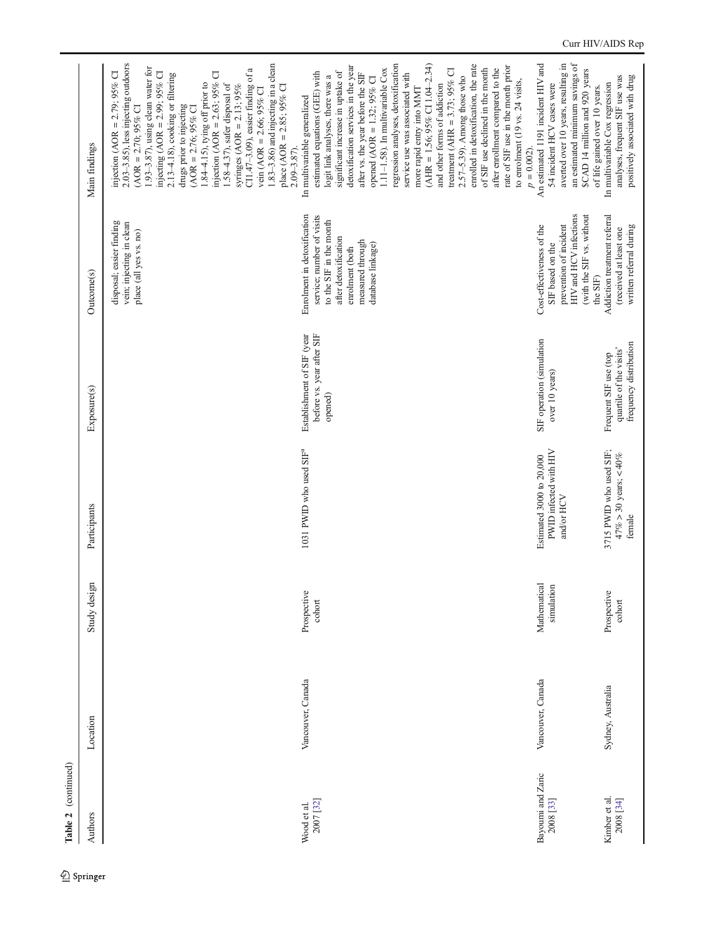| Table 2 (continued)            |                   |                            |                                                                  |                                                                            |                                                                                                                                                                         |                                                                                                                                                                                                                                                                                                                                                                                                                                                                                                                                                                                                                                                                                                                                                          |
|--------------------------------|-------------------|----------------------------|------------------------------------------------------------------|----------------------------------------------------------------------------|-------------------------------------------------------------------------------------------------------------------------------------------------------------------------|----------------------------------------------------------------------------------------------------------------------------------------------------------------------------------------------------------------------------------------------------------------------------------------------------------------------------------------------------------------------------------------------------------------------------------------------------------------------------------------------------------------------------------------------------------------------------------------------------------------------------------------------------------------------------------------------------------------------------------------------------------|
| Authors                        | Location          | Study design               | Participants                                                     | Exposure(s)                                                                | Outcome(s)                                                                                                                                                              | Main findings                                                                                                                                                                                                                                                                                                                                                                                                                                                                                                                                                                                                                                                                                                                                            |
|                                |                   |                            |                                                                  |                                                                            | disposal; easier finding<br>vein; injecting in clean<br>place (all yes vs. no)                                                                                          | $2.03 - 3.85$ ), less injecting outdoors<br>1.83-3.86) and injecting in a clean<br>1.93-3.87), using clean water for<br>CI1.47-3.09), easier finding of a<br>injecting (AOR = $2.99$ ; $95\%$ CI<br>injection (AOR = $2.63$ ; 95% CI<br>injection (AOR = $2.79$ ; $95\%$ CI<br>$2.13 - 4.18$ ), cooking or filtering<br>1.84-4.15), tying off prior to<br>1.58-4.37), safer disposal of<br>syringes (AOR = 2.13; $95\%$<br>place (AOR = $2.85$ ; $95\%$ CI<br>vein (AOR = $2.66$ ; 95% CI<br>drugs prior to injecting<br>$(AOR = 2.70; 95\% \text{ Cl}$<br>$(AOR = 2.76; 95\%$ CI<br>2.09-3.87).                                                                                                                                                         |
| 2007 [32]<br>Wood et al.       | Vancouver, Canada | Prospective<br>cohort      | 1031 PWID who used SIF <sup>ª</sup>                              | Establishment of SIF (year<br>before vs. year after SIF<br>opened)         | Enrolment in detoxification<br>service; number of visits<br>to the SIF in the month<br>after detoxification<br>measured through<br>database linkage)<br>enrolment (both | $(AHR = 1.56; 95\% CI 1.04-2.34)$<br>regression analyses, detoxification<br>detoxification services in the year<br>enrolled in detoxification, the rate<br>rate of SIF use in the month prior<br>of SIF use declined in the month<br>after enrollment compared to the<br>1.11-1.58). In multivariable Cox<br>treatment (AHR = $3.73$ ; $95\%$ CI<br>significant increase in uptake of<br>estimated equations (GEE) with<br>after vs. the year before the SIF<br>service use was associated with<br>2.57-5.39). Among those who<br>logit link analyses, there was a<br>opened (AOR = $1.32$ ; $95\%$ CI<br>to enrolment (19 vs. 24 visits,<br>and other forms of addiction<br>more rapid entry into MMT<br>In multivariable generalized<br>$p = 0.002$ ). |
| Bayoumi and Zaric<br>2008 [33] | Vancouver, Canada | Mathematical<br>simulation | PWID infected with HIV<br>Estimated 3000 to 20,000<br>and/or HCV | SIF operation (simulation<br>over 10 years)                                | HIV and HCV infections<br>(with the SIF vs. without<br>prevention of incident<br>Cost-effectiveness of the<br>SIF based on the<br>the SIF)                              | averted over 10 years, resulting in<br>An estimated 1191 incident HIV and<br>an estimated minimum savings of<br>\$CAD 14 million and 920 years<br>54 incident HCV cases were<br>of life gained over 10 years.                                                                                                                                                                                                                                                                                                                                                                                                                                                                                                                                            |
| Kimber et al.<br>2008 [34]     | Sydney, Australia | Prospective<br>cohort      | 3715 PWID who used SIF;<br>$47\% > 30$ years; $< 40\%$<br>female | frequency distribution<br>quartile of the visits'<br>Frequent SIF use (top | Addiction treatment referral<br>written referral during<br>(received at least one                                                                                       | positively associated with drug<br>analyses, frequent SIF use was<br>In multivariable Cox regression                                                                                                                                                                                                                                                                                                                                                                                                                                                                                                                                                                                                                                                     |

 $\underline{\textcircled{\tiny 2}}$  Springer

# Curr HIV/AIDS Rep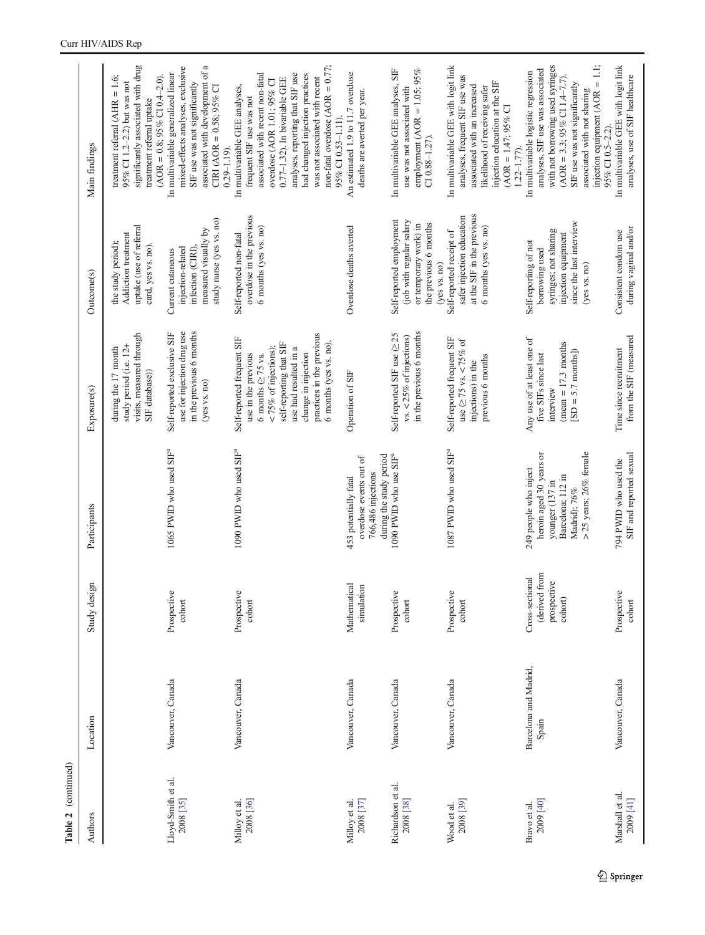| Authors                         | Location                       | Study design                                               | Participants                                                                                                                      | Exposure(s)                                                                                                                                                                                                                                | Outcome(s)                                                                                                                          | Main findings                                                                                                                                                                                                                                                                                                                         |
|---------------------------------|--------------------------------|------------------------------------------------------------|-----------------------------------------------------------------------------------------------------------------------------------|--------------------------------------------------------------------------------------------------------------------------------------------------------------------------------------------------------------------------------------------|-------------------------------------------------------------------------------------------------------------------------------------|---------------------------------------------------------------------------------------------------------------------------------------------------------------------------------------------------------------------------------------------------------------------------------------------------------------------------------------|
|                                 |                                |                                                            |                                                                                                                                   | visits, measured through<br>study period (i.e. 12+<br>during the 17 month<br>SIF database))                                                                                                                                                | uptake (use of referral<br>Addiction treatment<br>the study period);<br>card, yes vs. no).                                          | significantly associated with drug<br>treatment referral (AHR = $1.6$ ;<br>$(AOR = 0.8; 95\% \text{ CI } 0.4-2.0).$<br>95% CI 1.2-2.2) but was not<br>treatment referral uptake                                                                                                                                                       |
| Lloyd-Smith et al.<br>2008 [35] | Vancouver, Canada              | Prospective<br>cohort                                      | 1065 PWID who used SIF <sup>ª</sup>                                                                                               | in the previous 6 months<br>use for injection drug use<br>Self-reported exclusive SIF<br>(yes vs. no)                                                                                                                                      | study nurse (yes vs. no)<br>measured visually by<br>infection (CIRI),<br>injection-related<br>Current cutaneous                     | associated with development of a<br>mixed-effects analyses, exclusive<br>In multivariable generalized linear<br>SIF use was not significantly<br>CIRI (AOR = $0.58$ ; $95\%$ CI<br>$0.29 - 1.19$ .                                                                                                                                    |
| 2008 [36]<br>Milloy et al.      | Vancouver, Canada              | Prospective<br>cohort                                      | 1090 PWID who used SIF <sup>ª</sup>                                                                                               | practices in the previous<br>Self-reported frequent SIF<br>self-reporting that SIF<br>6 months (yes vs. no)<br>$< 75\%$ of injections);<br>use had resulted in a<br>change in injection<br>use in the previous<br>6 months ( $\geq$ 75 vs. | overdose in the previous<br>6 months (yes vs. no)<br>Self-reported non-fatal                                                        | non-fatal overdose $(AOR = 0.77)$ ;<br>associated with recent non-fatal<br>had changed injection practices<br>analyses, reporting that SIF use<br>was not associated with recent<br>$0.77-1.32$ ). In bivariable GEE<br>overdose (AOR 1.01; 95% CI<br>In multivariable GEE analyses,<br>frequent SIF use was not<br>95% CI 0.53-1.11) |
| 2008 [37]<br>Milloy et al.      | Vancouver, Canada              | Mathematical<br>simulation                                 | during the study period<br>overdose events out of<br>766,486 injections<br>453 potentially fatal                                  | Operation of SIF                                                                                                                                                                                                                           | Overdose deaths averted                                                                                                             | An estimated 1.9 to 11.7 overdose<br>deaths are averted per year.                                                                                                                                                                                                                                                                     |
| Richardson et al.<br>2008 [38]  | Vancouver, Canada              | Prospective<br>cohort                                      | 1090 PWID who use SIF <sup>ª</sup>                                                                                                | in the previous 6 months<br>Self-reported SIF use (≥25<br>vs. $<$ 25% of injections)                                                                                                                                                       | Self-reported employment<br>(job with regular salary<br>the previous 6 months<br>or temporary work) in<br>(yes vs. no)              | employment (AOR = $1.05$ ; $95\%$<br>In multivariable GEE analyses, SIF<br>use was not associated with<br>$C1 0.88 - 1.27$ .                                                                                                                                                                                                          |
| 2008 [39]<br>Wood et al.        | Vancouver, Canada              | Prospective<br>cohort                                      | 1087 PWID who used SIF <sup>ª</sup>                                                                                               | Self-reported frequent SIF<br>use $\geq 75$ vs. < 75% of<br>previous 6 months<br>injections) in the                                                                                                                                        | at the SIF in the previous<br>safer injection education<br>6 months (yes vs. no)<br>Self-reported receipt of                        | In multivariable GEE with logit link<br>analyses, frequent SIF use was<br>injection education at the SIF<br>associated with an increased<br>likelihood of receiving safer<br>$(AOR = 1.47; 95%$ CI<br>$1.22 - 1.77$ .                                                                                                                 |
| 2009 [40]<br>Bravo et al.       | Barcelona and Madrid,<br>Spain | (derived from<br>Cross-sectional<br>prospective<br>cohort) | >25 years; 26% female<br>heroin aged 30 years or<br>249 people who inject<br>Barcelona; 112 in<br>younger (137 in<br>Madrid); 76% | Any use of at least one of<br>$(mean = 17.3 months)$<br>$[SD = 5.7$ months])<br>five SIFs since last<br>interview                                                                                                                          | since the last interview<br>syringes; not sharing<br>injection equipment<br>Self-reporting of not<br>borrowing used<br>(yes vs. no) | injection equipment $(AOR = 1.1;$<br>with not borrowing used syringes<br>analyses, SIF use was associated<br>In multivariable logistic regression<br>$(AOR = 3.3; 95\% \text{ CI} 1.4-7.7).$<br>SIF use was not significantly<br>associated with not sharing<br>95% CI 0.5-2.2).                                                      |
| Marshall et al.<br>2009 [41]    | Vancouver, Canada              | Prospective<br>cohort                                      | SIF and reported sexual<br>794 PWID who used the                                                                                  | from the SIF (measured<br>Time since recruitment                                                                                                                                                                                           | during vaginal and/or<br>Consistent condom use                                                                                      | In multivariable GEE with logit link<br>analyses, use of SIF healthcare                                                                                                                                                                                                                                                               |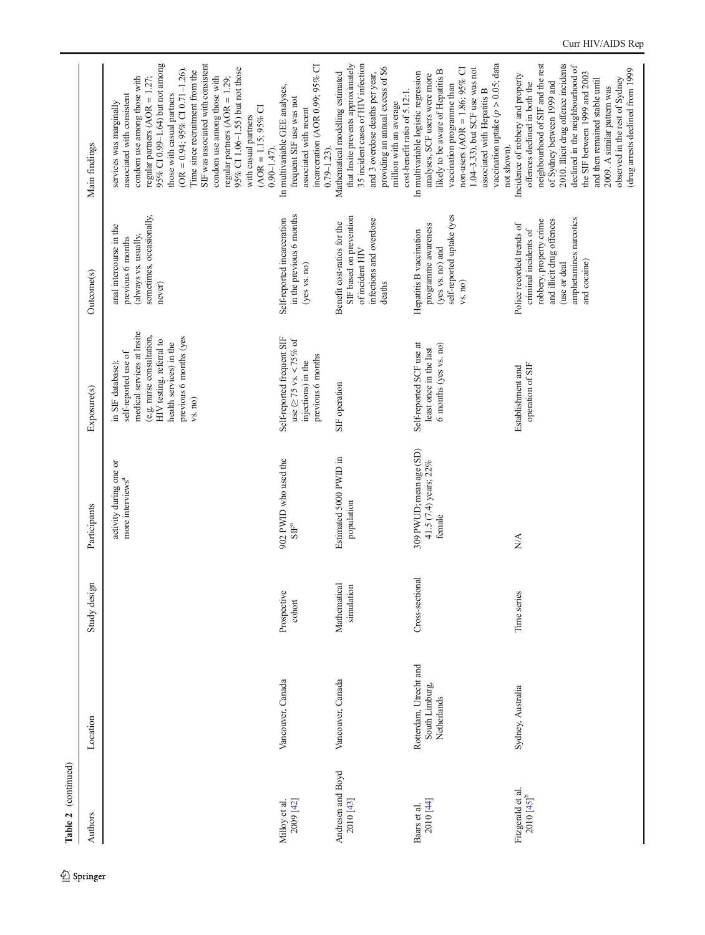| Table 2 (continued)                         |                                                         |                           |                                                            |                                                                                                                                                                                                  |                                                                                                                                                                      |                                                                                                                                                                                                                                                                                                                                                                                                                                                                                                |
|---------------------------------------------|---------------------------------------------------------|---------------------------|------------------------------------------------------------|--------------------------------------------------------------------------------------------------------------------------------------------------------------------------------------------------|----------------------------------------------------------------------------------------------------------------------------------------------------------------------|------------------------------------------------------------------------------------------------------------------------------------------------------------------------------------------------------------------------------------------------------------------------------------------------------------------------------------------------------------------------------------------------------------------------------------------------------------------------------------------------|
| Authors                                     | Location                                                | Study design              | Participants                                               | Exposure(s)                                                                                                                                                                                      | Outcome(s)                                                                                                                                                           | Main findings                                                                                                                                                                                                                                                                                                                                                                                                                                                                                  |
|                                             |                                                         |                           | activity during one or<br>more interviews <sup>a</sup>     | medical services at Insite<br>(e.g. nurse consultation,<br>previous 6 months (yes<br>HIV testing, referral to<br>health services) in the<br>self-reported use of<br>in SIF database);<br>vs. no) | sometimes, occasionally,<br>anal intercourse in the<br>(always vs. usually,<br>previous 6 months<br>never)                                                           | SIF was associated with consistent<br>95% CI 0.99-1.64) but not among<br>95% CI 1.06-1.55) but not those<br>(OR = $0.94$ ; $95\%$ CI 0.71-1.26).<br>Time since recruitment from the<br>condom use among those with<br>condom use among those with<br>regular partners $(AOR = 1.27)$ ;<br>regular partners (AOR = $1.29$ ;<br>those with casual partners<br>associated with consistent<br>services was marginally<br>$(AOR = 1.15; 95\% \text{ Cl}$<br>with casual partners<br>$0.90 - 1.47$ . |
| 2009 [42]<br>Milloy et al.                  | Vancouver, Canada                                       | Prospective<br>cohort     | 902 PWID who used the<br>SIF <sup>a</sup>                  | Self-reported frequent SIF<br>use $\geq 75$ vs. < 75% of<br>previous 6 months<br>injections) in the                                                                                              | in the previous 6 months<br>Self-reported incarceration<br>(yes vs. no)                                                                                              | incarceration (AOR 0.99; 95% CI<br>In multivariable GEE analyses,<br>frequent SIF use was not<br>associated with recent<br>$0.79 - 1.23$ ).                                                                                                                                                                                                                                                                                                                                                    |
| Andresen and Boyd<br>2010 [43]              | Vancouver, Canada                                       | Mathematica<br>simulation | Estimated 5000 PWID in<br>population                       | SIF operation                                                                                                                                                                                    | SIF based on prevention<br>infections and overdose<br>Benefit cost-ratios for the<br>of incident HIV<br>deaths                                                       | 35 incident cases of HIV infection<br>that Insite prevents approximately<br>providing an annual excess of \$6<br>and 3 overdose deaths per year,<br>Mathematical modelling estimated<br>cost-benefit ratio of 5.12:1.<br>million with an average                                                                                                                                                                                                                                               |
| 2010 [44]<br>Baars et al.                   | Rotterdam, Utrecht and<br>South Limburg,<br>Netherlands | Cross-sectional           | 309 PWUD; mean age (SD)<br>41.5 (7.4) years; 22%<br>female | Self-reported SCF use at<br>6 months (yes vs. no)<br>least once in the last                                                                                                                      | self-reported uptake (yes<br>programme awareness<br>Hepatitis B vaccination<br>(yes vs. no) and<br>vs. no)                                                           | vaccination uptake $(p > 0.05;$ data<br>non-users (AOR = 1.86; 95% CI<br>1.04-3.33), but SCF use was not<br>likely to be aware of Hepatitis B<br>In multivariable logistic regression<br>analyses, SCF users were more<br>vaccination programme than<br>associated with Hepatitis B<br>not shown).                                                                                                                                                                                             |
| Fitzgerald et al.<br>2010 [45] <sup>b</sup> | Sydney, Australia                                       | Time series               | $\frac{\triangleleft}{\triangle}$                          | operation of SIF<br>Establishment and                                                                                                                                                            | amphetamines narcotics<br>robbery, property crime<br>and illicit drug offences<br>Police recorded trends of<br>criminal incidents of<br>and cocaine)<br>(use or deal | neighbourhood of SIF and the rest<br>2010. Illicit drug offence incidents<br>declined in the neighbourhood of<br>(drug arrests declined from 1999<br>the SIF between 1999 and 2003<br>Incidence of robbery and property<br>observed in the rest of Sydney<br>and then remained stable until<br>of Sydney between 1999 and<br>offences declined in both the<br>2009. A similar pattern was                                                                                                      |

# Curr HIV/AIDS Rep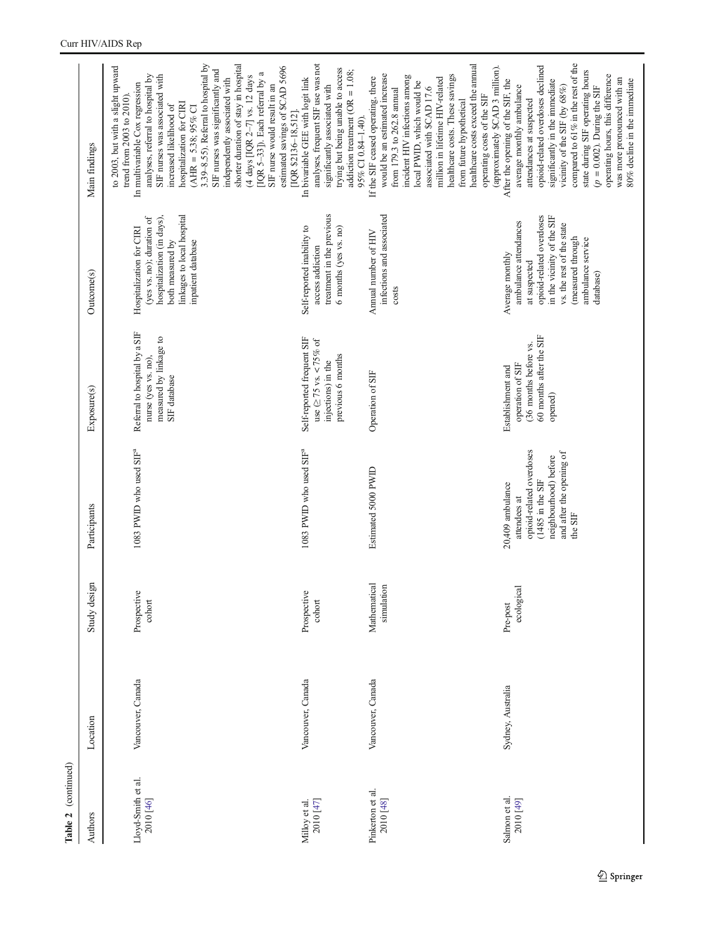| Authors                         | Location          | Study design               | Participants                                                                                                                                             | Exposure(s)                                                                                           | Outcome(s)                                                                                                                                                                                             | Main findings                                                                                                                                                                                                                                                                                                                                                                                                                                                                                                                                                                |
|---------------------------------|-------------------|----------------------------|----------------------------------------------------------------------------------------------------------------------------------------------------------|-------------------------------------------------------------------------------------------------------|--------------------------------------------------------------------------------------------------------------------------------------------------------------------------------------------------------|------------------------------------------------------------------------------------------------------------------------------------------------------------------------------------------------------------------------------------------------------------------------------------------------------------------------------------------------------------------------------------------------------------------------------------------------------------------------------------------------------------------------------------------------------------------------------|
| Lloyd-Smith et al.<br>2010 [46] | Vancouver, Canada | Prospective<br>cohort      | 1083 PWID who used SIF <sup>ª</sup>                                                                                                                      | Referral to hospital by a SIF<br>measured by linkage to<br>nurse (yes vs. no).<br>SIF database        | linkages to local hospital<br>hospitalization (in days),<br>(yes vs. no); duration of<br>Hospitalization for CIRI<br>both measured by<br>inpatient database                                            | 3.39-8.55). Referral to hospital by<br>shorter duration of stay in hospital<br>to 2003, but with a slight upward<br>estimated savings of \$CAD 5696<br>SIF nurses was significantly and<br>[IQR 5-33]). Each referral by a<br>analyses, referral to hospital by<br>SIF nurses was associated with<br>(4 days [IQR $2-7$ ] vs. 12 days<br>independently associated with<br>In multivariable Cox regression<br>SIF nurse would result in an<br>trend from 2003 to 2010)<br>hospitalization for CIRI<br>increased likelihood of<br>$(AHR = 5.38; 95%$ CI<br>IQR \$2136-18,512]. |
| 2010 [47]<br>Milloy et al.      | Vancouver, Canada | Prospective<br>cohort      | 1083 PWID who used SIF <sup>ª</sup>                                                                                                                      | Self-reported frequent SIF<br>use $( \geq 75$ vs. < 75% of<br>previous 6 months<br>injections) in the | treatment in the previous<br>Self-reported inability to<br>6 months (yes vs. no)<br>access addiction                                                                                                   | analyses, frequent SIF use was not<br>trying but being unable to access<br>addiction treatment ( $OR = 1.08$ ;<br>In bivariable GEE with logit link<br>significantly associated with<br>95% CI 0.84-1.40).                                                                                                                                                                                                                                                                                                                                                                   |
| Pinkerton et al.<br>2010 [48]   | Vancouver, Canada | Mathematical<br>simulation | Estimated 5000 PWID                                                                                                                                      | Operation of SIF                                                                                      | infections and associated<br>Annual number of HIV<br>costs                                                                                                                                             | healthcare costs exceed the amual<br>(approximately \$CAD 3 million).<br>would be an estimated increase<br>healthcare costs. These savings<br>incident HIV infections among<br>If the SIF ceased operating, there<br>million in lifetime HIV-related<br>local PWID, which would be<br>associated with \$CAD 17.6<br>from 179.3 to 262.8 annual<br>operating costs of the SIF<br>from future hypothetical                                                                                                                                                                     |
| Salmon et al.<br>2010 [49]      | Sydney, Australia | ecological<br>Pre-post     | opioid-related overdoses<br>and after the opening of<br>neighbourhood) before<br>(1485 in the SIF<br>20,409 ambulance<br>attendees at<br>the ${\rm SIF}$ | 60 months after the SIF<br>(36 months before vs.<br>operation of SIF<br>Establishment and<br>opened)  | opioid-related overdoses<br>in the vicinity of the SIF<br>ambulance attendances<br>vs. the rest of the state<br>(measured through<br>ambulance service<br>Average monthly<br>at suspected<br>database) | compared to 61% in the rest of the<br>opioid-related overdoses declined<br>state during SIF operating hours<br>operating hours, this difference<br>was more pronounced with an<br>80% decline in the immediate<br>significantly in the immediate<br>After the opening of the SIF, the<br>average monthly ambulance<br>$(p = 0.002)$ . During the SIF<br>vicinity of the SIF (by 68%)<br>attendances at suspected                                                                                                                                                             |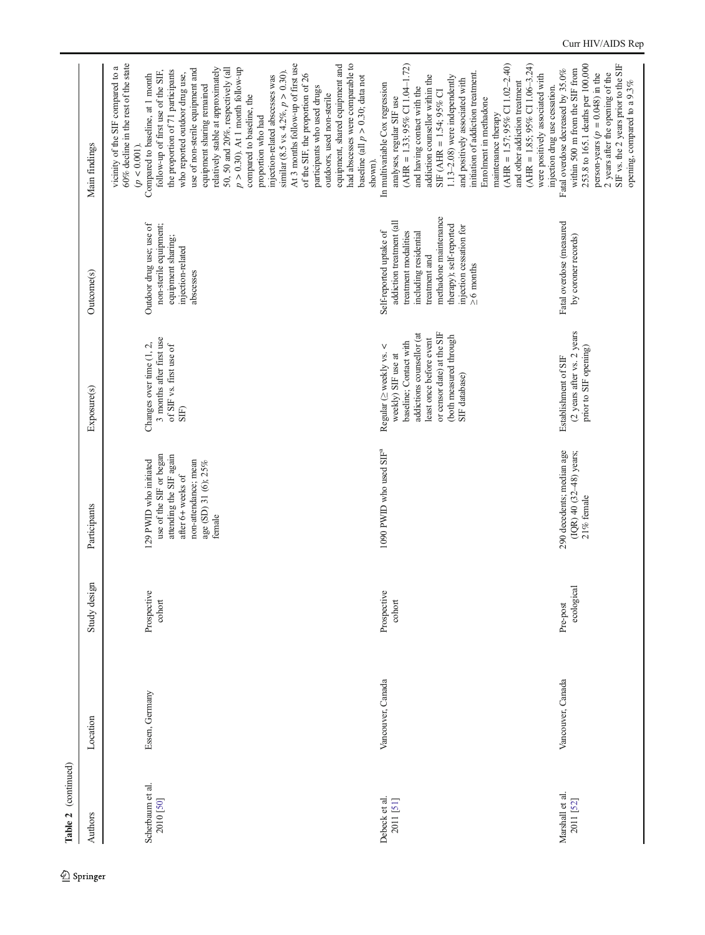| Table 2 (continued)           |                   |                        |                                                                                                                                                             |                                                                                                                                                                                                          |                                                                                                                                                                                                                         |                                                                                                                                                                                                                                                                                                                                                                                                                                                                                                                                                                                                                                                                                                                                                                                                                     |
|-------------------------------|-------------------|------------------------|-------------------------------------------------------------------------------------------------------------------------------------------------------------|----------------------------------------------------------------------------------------------------------------------------------------------------------------------------------------------------------|-------------------------------------------------------------------------------------------------------------------------------------------------------------------------------------------------------------------------|---------------------------------------------------------------------------------------------------------------------------------------------------------------------------------------------------------------------------------------------------------------------------------------------------------------------------------------------------------------------------------------------------------------------------------------------------------------------------------------------------------------------------------------------------------------------------------------------------------------------------------------------------------------------------------------------------------------------------------------------------------------------------------------------------------------------|
| Authors                       | Location          | Study design           | Participants                                                                                                                                                | Exposure(s)                                                                                                                                                                                              | Outcome(s)                                                                                                                                                                                                              | Main findings                                                                                                                                                                                                                                                                                                                                                                                                                                                                                                                                                                                                                                                                                                                                                                                                       |
| Scherbaum et al.<br>2010 [50] | Essen, Germany    | Prospective<br>cohort  | use of the SIF or began<br>attending the SIF again<br>129 PWID who initiated<br>non-attendance; mean<br>age (SD) 31 (6); 25%<br>after 6+ weeks of<br>female | 3 months after first use<br>Changes over time (1, 2,<br>of SIF vs. first use of<br>SIF)                                                                                                                  | Outdoor drug use; use of<br>non-sterile equipment;<br>equipment sharing;<br>injection-related<br>abscesses                                                                                                              | At 3 months follow-up of first use<br>had abscesses were comparable to<br>60% decline in the rest of the state<br>equipment, shared equipment and<br>vicinity of the SIF compared to a<br>relatively stable at approximately<br>$p > 0.30$ ). At 1 month follow-up<br>50, 50 and 20%, respectively (all<br>use of non-sterile equipment and<br>the proportion of 71 participants<br>follow-up of first use of the SIF,<br>similar (8.5 vs. 4.2%, $p > 0.30$ ).<br>of the SIF, the proportion of 26<br>who reported outdoor drug use,<br>Compared to baseline, at 1 month<br>baseline (all $p > 0.30$ ; data not<br>injection-related abscesses was<br>equipment sharing remained<br>participants who used drugs<br>outdoors, used non-sterile<br>compared to baseline, the<br>proportion who had<br>$(p < 0.001)$ . |
| Debeck et al.<br>2011 [51]    | Vancouver, Canada | Prospective<br>cohort  | 1090 PWID who used SIF <sup>ª</sup>                                                                                                                         | or censor date) at the SIF<br>addictions counsellor (at<br>(both measured through<br>least once before event<br>baseline; Contact with<br>Regular (> weekly vs. <<br>weekly) SIF use at<br>SIF database) | methadone maintenance<br>addiction treatment (all<br>therapy); self-reported<br>injection cessation for<br>Self-reported uptake of<br>treatment modalities<br>including residential<br>treatment and<br>$\geq 6$ months | $(AHR = 1.57; 95\% CI 1.02-2.40)$<br>$(AHR = 1.85; 95\% CI 1.06-3.24)$<br>$(AHR = 1.33; 95\% \text{ CI} 1.04-1.72)$<br>initiation of addiction treatment.<br>were positively associated with<br>addiction counsellor within the<br>1.13-2.08) were independently<br>and positively associated with<br>and other addiction treatment<br>In multivariable Cox regression<br>and having contact with the<br>SIF (AHR = $1.54$ ; $95\%$ CI<br>analyses, regular SIF use<br>Enrolment in methadone<br>maintenance therapy<br>shown).                                                                                                                                                                                                                                                                                     |
| Marshall et al.<br>2011 [52]  | Vancouver, Canada | ecological<br>Pre-post | 290 decedents; median age<br>(IQR) 40 (32-48) years;<br>$21\%$ female                                                                                       | (2 years after vs. 2 years<br>prior to SIF opening)<br>Establishment of SIF                                                                                                                              | Fatal overdose (measured<br>by coroner records)                                                                                                                                                                         | SIF vs. the 2 years prior to the SIF<br>253.8 to 165.1 deaths per 100,000<br>Fatal overdose decreased by 35.0%<br>within 500 m from the SIF from<br>2 years after the opening of the<br>person-years ( $p = 0.048$ ) in the<br>opening, compared to a 9.3%<br>injection drug use cessation.                                                                                                                                                                                                                                                                                                                                                                                                                                                                                                                         |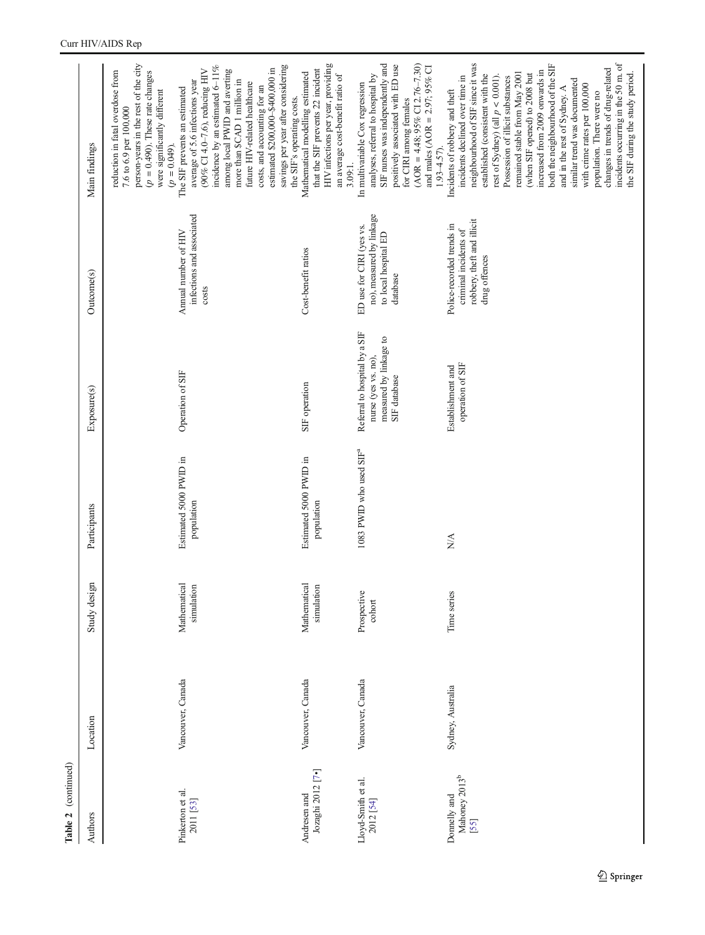| Authors                                           | Location          | Study design               | Participants                         | Exposure(s)                                                                                    | Outcome(s)                                                                                        | Main findings                                                                                                                                                                                                                                                                                                                                                                                                                                                                                                                                                                                               |
|---------------------------------------------------|-------------------|----------------------------|--------------------------------------|------------------------------------------------------------------------------------------------|---------------------------------------------------------------------------------------------------|-------------------------------------------------------------------------------------------------------------------------------------------------------------------------------------------------------------------------------------------------------------------------------------------------------------------------------------------------------------------------------------------------------------------------------------------------------------------------------------------------------------------------------------------------------------------------------------------------------------|
|                                                   |                   |                            |                                      |                                                                                                |                                                                                                   | person-years in the rest of the city<br>reduction in fatal overdose from<br>$(p = 0.490)$ . These rate changes<br>were significantly different<br>7.6 to 6.9 per 100,000<br>$(p = 0.049)$ .                                                                                                                                                                                                                                                                                                                                                                                                                 |
| Pinkerton et al.<br>2011 [53]                     | Vancouver, Canada | Mathematical<br>simulation | Estimated 5000 PWID in<br>population | Operation of SIF                                                                               | infections and associated<br>Annual number of HIV<br>costs                                        | incidence by an estimated 6-11%<br>savings per year after considering<br>estimated \$200,000-\$400,000 in<br>(90% CI 4.0-7.6), reducing HIV<br>among local PWID and averting<br>average of 5.6 infections year<br>more than \$CAD 1 million in<br>future HIV-related healthcare<br>costs, and accounting for an<br>The SIF prevents an estimated                                                                                                                                                                                                                                                            |
| Jozaghi 2012 <sup>[7•]</sup><br>Andresen and      | Vancouver, Canada | Mathematical<br>simulation | Estimated 5000 PWID in<br>population | SIF operation                                                                                  | Cost-benefit ratios                                                                               | HIV infections per year, providing<br>that the SIF prevents 22 incident<br>Mathematical modelling estimated<br>an average cost-benefit ratio of<br>the SIF's operating costs.<br>3.09:1.                                                                                                                                                                                                                                                                                                                                                                                                                    |
| Lloyd-Smith et al.<br>2012 [54]                   | Vancouver, Canada | Prospective<br>cohort      | 1083 PWID who used SIF <sup>ª</sup>  | Referral to hospital by a SIF<br>measured by linkage to<br>nurse (yes vs. no),<br>SIF database | no), measured by linkage<br>ED use for CIRI (yes vs.<br>to local hospital ED<br>database          | SIF nurses was independently and<br>$(AOR = 4.48; 95\% \text{ CI} 2.76-7.30)$<br>positively associated with ED use<br>and males (AOR = $2.97$ ; $95\%$ CI<br>analyses, referral to hospital by<br>In multivariable Cox regression<br>for CIRI among females<br>$1.93 - 4.57$ .                                                                                                                                                                                                                                                                                                                              |
| Mahoney 2013 <sup>b</sup><br>Donnelly and<br>[55] | Sydney, Australia | Time series                | NA.                                  | operation of SIF<br>Establishment and                                                          | robbery, theft and illicit<br>Police-recorded trends in<br>criminal incidents of<br>drug offences | incidents occurring in the 50 m. of<br>neighbourhood of SIF since it was<br>both the neighbourhood of the SIF<br>changes in trends of drug-related<br>increased from 2009 onwards in<br>remained stable from May 2001<br>(when SIF opened) to 2008 but<br>the SIF during the study period.<br>established (consistent with the<br>incidents declined over time in<br>rest of Sydney) (all $p < 0.001$ ).<br>Possession of illicit substances<br>similar trend was documented<br>with crime rates per 100,000<br>and in the rest of Sydney. A<br>Incidents of robbery and theft<br>population. There were no |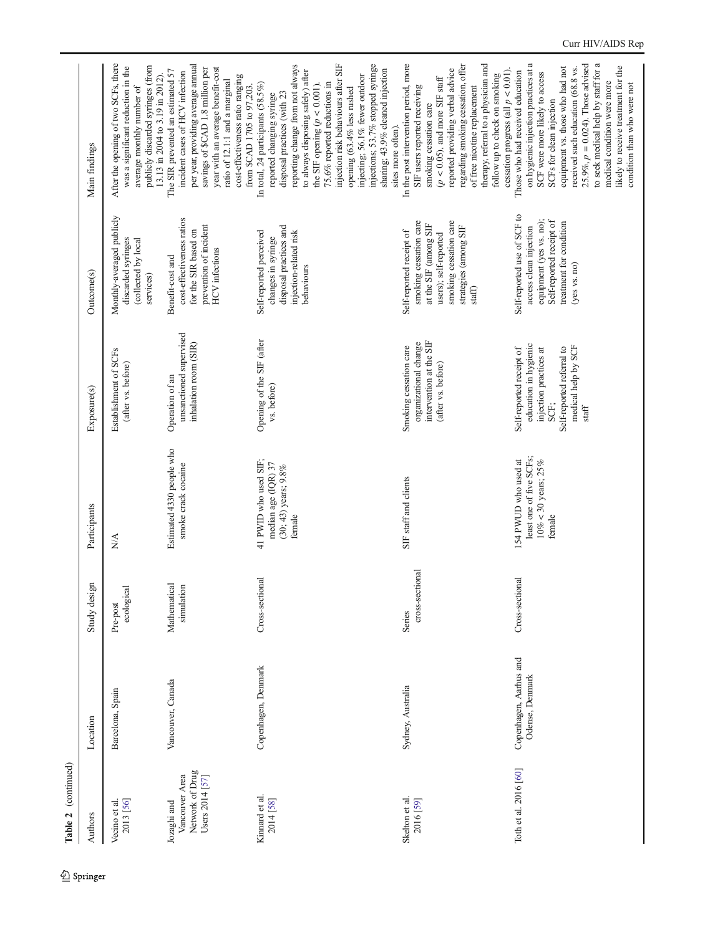Table 2 (continued) Table 2 (continued)

| Authors                                                             | Location                                  | Study design               | Participants                                                                           | Exposure(s)                                                                                                                                      | Outcome(s)                                                                                                                                                        | Main findings                                                                                                                                                                                                                                                                                                                                                                                                                                      |
|---------------------------------------------------------------------|-------------------------------------------|----------------------------|----------------------------------------------------------------------------------------|--------------------------------------------------------------------------------------------------------------------------------------------------|-------------------------------------------------------------------------------------------------------------------------------------------------------------------|----------------------------------------------------------------------------------------------------------------------------------------------------------------------------------------------------------------------------------------------------------------------------------------------------------------------------------------------------------------------------------------------------------------------------------------------------|
| 2013 [56]<br>Vecino et al.                                          | Barcelona, Spain                          | ecological<br>Pre-post     | $\frac{\triangleleft}{\triangle}$                                                      | Establishment of SCFs<br>(after vs. before)                                                                                                      | Monthly-averaged publicly<br>discarded syringes<br>(collected by local<br>services)                                                                               | After the opening of two SCFs, there<br>publicly discarded syringes (from<br>was a significant reduction in the<br>13.13 in 2004 to 3.19 in 2012).<br>average monthly number of                                                                                                                                                                                                                                                                    |
| Network of Drug<br>Vancouver Area<br>Users 2014 [57]<br>Jozaghi and | Vancouver, Canada                         | Mathematical<br>simulation | Estimated 4330 people who<br>snoke crack cocaine                                       | unsanctioned supervised<br>inhalation room (SIR)<br>Operation of an                                                                              | cost-effectiveness ratios<br>prevention of incident<br>for the SIR based on<br><b>HCV</b> infections<br>Benefit-cost and                                          | per year, providing average annual<br>savings of \$CAD 1.8 million per<br>year with an average benefit-cost<br>The SIR prevented an estimated 57<br>incident cases of HCV infection<br>cost-effectiveness ratio ranging<br>ratio of 12.1:1 and a marginal<br>from \$CAD 1705 to 97,203.                                                                                                                                                            |
| Kinnard et al.<br>2014 [58]                                         | Copenhagen, Denmark                       | Cross-sectional            | 41 PWID who used SIF;<br>median age (IQR) 37<br>$(30; 43)$ years; $9.8\%$<br>female    | Opening of the SIF (after<br>vs. before)                                                                                                         | disposal practices and<br>Self-reported perceived<br>injection-related risk<br>changes in syringe<br>behaviours                                                   | reporting change from not always<br>injection risk behaviours after SIF<br>injections; 53.7% stopped syringe<br>sharing; 43.9% cleaned injection<br>to always disposing safely) after<br>injecting; 56.1% fewer outdoor<br>75.6% reported reductions in<br>the SIF opening $(p < 0.001)$ .<br>In total, 24 participants (58.5%)<br>opening $(63.4\%$ less rushed<br>disposal practices (with 23<br>reported changing syringe<br>sites more often). |
| Skelton et al.<br>2016 [59]                                         | Sydney, Australia                         | cross-sectional<br>Series  | SIF staff and clients                                                                  | intervention at the SIF<br>organizational change<br>Smoking cessation care<br>(after vs. before)                                                 | smoking cessation care<br>smoking cessation care<br>at the SIF (among SIF<br>strategies (among SIF<br>Self-reported receipt of<br>users); self-reported<br>staff) | In the post intervention period, more<br>therapy, referral to a physician and<br>regarding smoking cessation, offer<br>reported providing verbal advice<br>follow up to check on smoking<br>$(p < 0.05)$ , and more SIF staff<br>SIF users reported receiving<br>of free nicotine replacement<br>smoking cessation care                                                                                                                            |
| Toth et al. 2016 [60]                                               | Copenhagen, Aarhus and<br>Odense, Denmark | Cross-sectional            | least one of five SCFs;<br>154 PWUD who used at<br>$10\% < 30$ years; $25\%$<br>female | education in hygienic<br>medical help by SCF<br>Self-reported receipt of<br>Self-reported referral to<br>injection practices at<br>SCF;<br>staff | Self-reported use of SCF to<br>equipment (yes vs. no);<br>Self-reported receipt of<br>treatment for condition<br>access clean injection<br>(yes vs. no)           | on hygienic injection practices at a<br>25.9%, $p = 0.024$ ). Those advised<br>to seek medical help by staff for a<br>equipment vs. those who had not<br>likely to receive treatment for the<br>received such education (68.8 vs.<br>cessation progress (all $p < 0.01$ ).<br>Those who had received education<br>SCF were more likely to access<br>medical condition were more<br>condition than who were not<br>SCFs for clean injection         |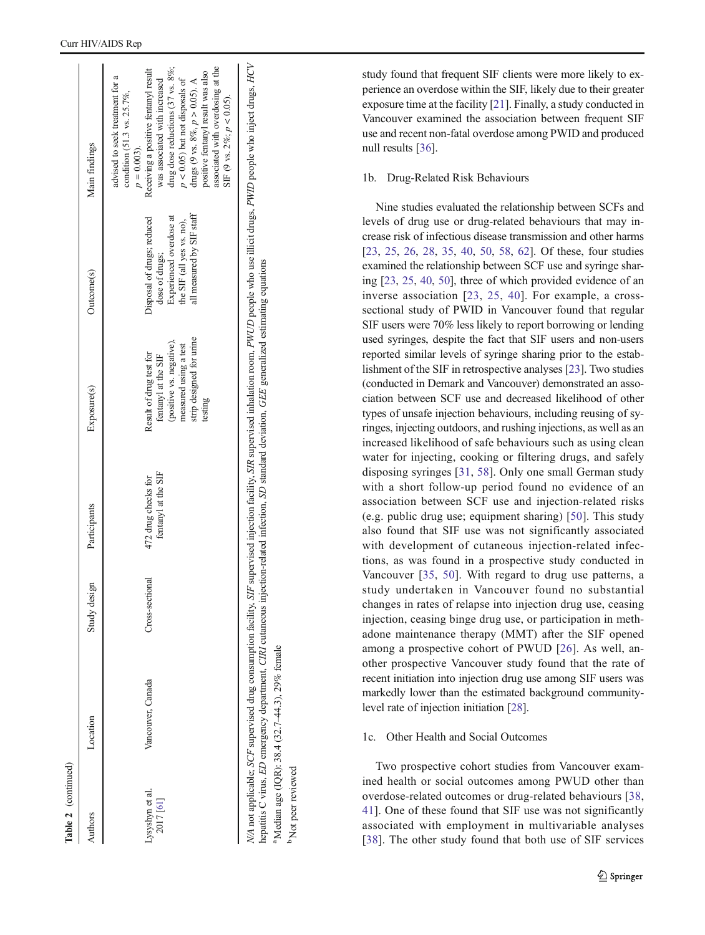(continued)

 $\ldots$  and  $\ldots$  and  $D$  emergency department, *CIRI* cutaneous injection-related infection, *SD* standard deviation, *GEE* generalized estimating equations hepatitis C virus, ED emergency department, CIRI cutaneous injection-related infection, SD standard deviation, GEE generalized estimating equations Median age (IQR): 38.4 (32.7-44.3), 29% female  $^{a}$ Median age (IQR): 38.4 (32.7–44.3), 29% female

<sup>o</sup> Not peer reviewed b Not peer reviewed

study found that frequent SIF clients were more likely to experience an overdose within the SIF, likely due to their greater exposure time at the facility [\[21\]](#page-19-0). Finally, a study conducted in Vancouver examined the association between frequent SIF use and recent non-fatal overdose among PWID and produced null results [[36](#page-20-0)].

### 1b. Drug-Related Risk Behaviours

Nine studies evaluated the relationship between SCFs and levels of drug use or drug-related behaviours that may increase risk of infectious disease transmission and other harms [\[23](#page-20-0), [25](#page-20-0), [26](#page-20-0), [28](#page-20-0), [35](#page-20-0), [40](#page-20-0), [50,](#page-20-0) [58,](#page-21-0) [62\]](#page-21-0). Of these, four studies examined the relationship between SCF use and syringe sharing [[23](#page-20-0), [25,](#page-20-0) [40,](#page-20-0) [50](#page-20-0)], three of which provided evidence of an inverse association [[23](#page-20-0), [25,](#page-20-0) [40\]](#page-20-0). For example, a crosssectional study of PWID in Vancouver found that regular SIF users were 70% less likely to report borrowing or lending used syringes, despite the fact that SIF users and non-users reported similar levels of syringe sharing prior to the establishment of the SIF in retrospective analyses [[23](#page-20-0)]. Two studies (conducted in Demark and Vancouver) demonstrated an association between SCF use and decreased likelihood of other types of unsafe injection behaviours, including reusing of syringes, injecting outdoors, and rushing injections, as well as an increased likelihood of safe behaviours such as using clean water for injecting, cooking or filtering drugs, and safely disposing syringes [[31,](#page-20-0) [58](#page-21-0)]. Only one small German study with a short follow-up period found no evidence of an association between SCF use and injection-related risks (e.g. public drug use; equipment sharing) [[50](#page-20-0)]. This study also found that SIF use was not significantly associated with development of cutaneous injection-related infections, as was found in a prospective study conducted in Vancouver [\[35](#page-20-0), [50](#page-20-0)]. With regard to drug use patterns, a study undertaken in Vancouver found no substantial changes in rates of relapse into injection drug use, ceasing injection, ceasing binge drug use, or participation in methadone maintenance therapy (MMT) after the SIF opened among a prospective cohort of PWUD [\[26\]](#page-20-0). As well, another prospective Vancouver study found that the rate of recent initiation into injection drug use among SIF users was markedly lower than the estimated background communitylevel rate of injection initiation [[28\]](#page-20-0).

## 1c. Other Health and Social Outcomes

Two prospective cohort studies from Vancouver examined health or social outcomes among PWUD other than overdose-related outcomes or drug-related behaviours [[38,](#page-20-0) [41](#page-20-0)]. One of these found that SIF use was not significantly associated with employment in multivariable analyses [\[38\]](#page-20-0). The other study found that both use of SIF services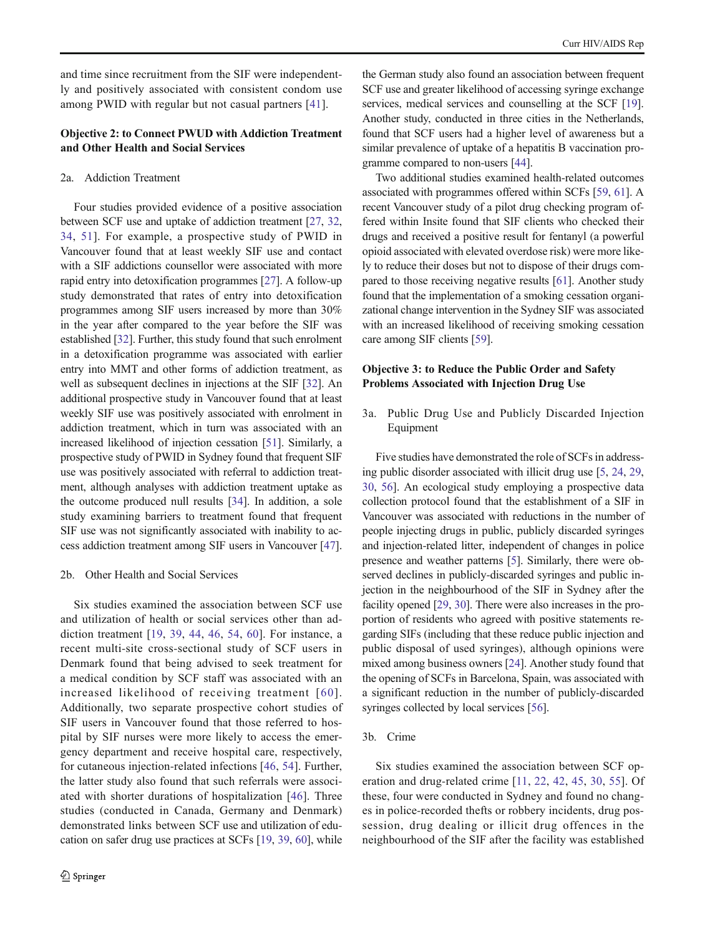and time since recruitment from the SIF were independently and positively associated with consistent condom use among PWID with regular but not casual partners [[41\]](#page-20-0).

### Objective 2: to Connect PWUD with Addiction Treatment and Other Health and Social Services

### 2a. Addiction Treatment

Four studies provided evidence of a positive association between SCF use and uptake of addiction treatment [[27](#page-20-0), [32,](#page-20-0) [34](#page-20-0), [51\]](#page-20-0). For example, a prospective study of PWID in Vancouver found that at least weekly SIF use and contact with a SIF addictions counsellor were associated with more rapid entry into detoxification programmes [\[27](#page-20-0)]. A follow-up study demonstrated that rates of entry into detoxification programmes among SIF users increased by more than 30% in the year after compared to the year before the SIF was established [\[32\]](#page-20-0). Further, this study found that such enrolment in a detoxification programme was associated with earlier entry into MMT and other forms of addiction treatment, as well as subsequent declines in injections at the SIF [[32](#page-20-0)]. An additional prospective study in Vancouver found that at least weekly SIF use was positively associated with enrolment in addiction treatment, which in turn was associated with an increased likelihood of injection cessation [[51](#page-20-0)]. Similarly, a prospective study of PWID in Sydney found that frequent SIF use was positively associated with referral to addiction treatment, although analyses with addiction treatment uptake as the outcome produced null results [[34\]](#page-20-0). In addition, a sole study examining barriers to treatment found that frequent SIF use was not significantly associated with inability to access addiction treatment among SIF users in Vancouver [[47\]](#page-20-0).

#### 2b. Other Health and Social Services

Six studies examined the association between SCF use and utilization of health or social services other than addiction treatment [\[19,](#page-19-0) [39,](#page-20-0) [44](#page-20-0), [46](#page-20-0), [54,](#page-20-0) [60\]](#page-21-0). For instance, a recent multi-site cross-sectional study of SCF users in Denmark found that being advised to seek treatment for a medical condition by SCF staff was associated with an increased likelihood of receiving treatment [[60\]](#page-21-0). Additionally, two separate prospective cohort studies of SIF users in Vancouver found that those referred to hospital by SIF nurses were more likely to access the emergency department and receive hospital care, respectively, for cutaneous injection-related infections [\[46](#page-20-0), [54\]](#page-20-0). Further, the latter study also found that such referrals were associated with shorter durations of hospitalization [[46\]](#page-20-0). Three studies (conducted in Canada, Germany and Denmark) demonstrated links between SCF use and utilization of education on safer drug use practices at SCFs [\[19,](#page-19-0) [39,](#page-20-0) [60](#page-21-0)], while

the German study also found an association between frequent SCF use and greater likelihood of accessing syringe exchange services, medical services and counselling at the SCF [[19\]](#page-19-0). Another study, conducted in three cities in the Netherlands, found that SCF users had a higher level of awareness but a similar prevalence of uptake of a hepatitis B vaccination programme compared to non-users [\[44\]](#page-20-0).

Two additional studies examined health-related outcomes associated with programmes offered within SCFs [\[59,](#page-21-0) [61\]](#page-21-0). A recent Vancouver study of a pilot drug checking program offered within Insite found that SIF clients who checked their drugs and received a positive result for fentanyl (a powerful opioid associated with elevated overdose risk) were more likely to reduce their doses but not to dispose of their drugs compared to those receiving negative results [\[61\]](#page-21-0). Another study found that the implementation of a smoking cessation organizational change intervention in the Sydney SIF was associated with an increased likelihood of receiving smoking cessation care among SIF clients [\[59](#page-21-0)].

### Objective 3: to Reduce the Public Order and Safety Problems Associated with Injection Drug Use

3a. Public Drug Use and Publicly Discarded Injection Equipment

Five studies have demonstrated the role of SCFs in addressing public disorder associated with illicit drug use [\[5,](#page-19-0) [24,](#page-20-0) [29,](#page-20-0) [30,](#page-20-0) [56](#page-20-0)]. An ecological study employing a prospective data collection protocol found that the establishment of a SIF in Vancouver was associated with reductions in the number of people injecting drugs in public, publicly discarded syringes and injection-related litter, independent of changes in police presence and weather patterns [[5\]](#page-19-0). Similarly, there were observed declines in publicly-discarded syringes and public injection in the neighbourhood of the SIF in Sydney after the facility opened [\[29](#page-20-0), [30\]](#page-20-0). There were also increases in the proportion of residents who agreed with positive statements regarding SIFs (including that these reduce public injection and public disposal of used syringes), although opinions were mixed among business owners [[24\]](#page-20-0). Another study found that the opening of SCFs in Barcelona, Spain, was associated with a significant reduction in the number of publicly-discarded syringes collected by local services [[56\]](#page-20-0).

### 3b. Crime

Six studies examined the association between SCF operation and drug-related crime [\[11](#page-19-0), [22,](#page-19-0) [42,](#page-20-0) [45](#page-20-0), [30](#page-20-0), [55\]](#page-20-0). Of these, four were conducted in Sydney and found no changes in police-recorded thefts or robbery incidents, drug possession, drug dealing or illicit drug offences in the neighbourhood of the SIF after the facility was established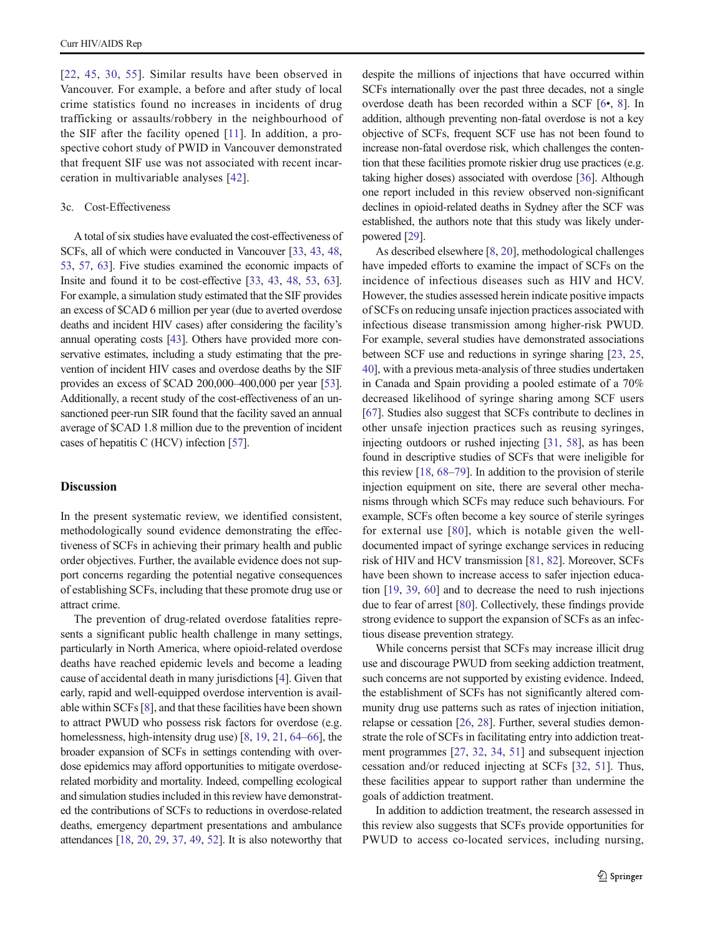[\[22,](#page-19-0) [45](#page-20-0), [30](#page-20-0), [55](#page-20-0)]. Similar results have been observed in Vancouver. For example, a before and after study of local crime statistics found no increases in incidents of drug trafficking or assaults/robbery in the neighbourhood of the SIF after the facility opened [[11\]](#page-19-0). In addition, a prospective cohort study of PWID in Vancouver demonstrated that frequent SIF use was not associated with recent incarceration in multivariable analyses [[42\]](#page-20-0).

### 3c. Cost-Effectiveness

A total of six studies have evaluated the cost-effectiveness of SCFs, all of which were conducted in Vancouver [\[33,](#page-20-0) [43,](#page-20-0) [48,](#page-20-0) [53,](#page-20-0) [57](#page-20-0), [63\]](#page-21-0). Five studies examined the economic impacts of Insite and found it to be cost-effective [[33](#page-20-0), [43](#page-20-0), [48,](#page-20-0) [53,](#page-20-0) [63\]](#page-21-0). For example, a simulation study estimated that the SIF provides an excess of \$CAD 6 million per year (due to averted overdose deaths and incident HIV cases) after considering the facility's annual operating costs [\[43\]](#page-20-0). Others have provided more conservative estimates, including a study estimating that the prevention of incident HIV cases and overdose deaths by the SIF provides an excess of \$CAD 200,000–400,000 per year [\[53\]](#page-20-0). Additionally, a recent study of the cost-effectiveness of an unsanctioned peer-run SIR found that the facility saved an annual average of \$CAD 1.8 million due to the prevention of incident cases of hepatitis C (HCV) infection [\[57](#page-20-0)].

#### **Discussion**

In the present systematic review, we identified consistent, methodologically sound evidence demonstrating the effectiveness of SCFs in achieving their primary health and public order objectives. Further, the available evidence does not support concerns regarding the potential negative consequences of establishing SCFs, including that these promote drug use or attract crime.

The prevention of drug-related overdose fatalities represents a significant public health challenge in many settings, particularly in North America, where opioid-related overdose deaths have reached epidemic levels and become a leading cause of accidental death in many jurisdictions [\[4\]](#page-19-0). Given that early, rapid and well-equipped overdose intervention is available within SCFs [[8\]](#page-19-0), and that these facilities have been shown to attract PWUD who possess risk factors for overdose (e.g. homelessness, high-intensity drug use) [\[8](#page-19-0), [19,](#page-19-0) [21](#page-19-0), [64](#page-21-0)–[66](#page-21-0)], the broader expansion of SCFs in settings contending with overdose epidemics may afford opportunities to mitigate overdoserelated morbidity and mortality. Indeed, compelling ecological and simulation studies included in this review have demonstrated the contributions of SCFs to reductions in overdose-related deaths, emergency department presentations and ambulance attendances [\[18,](#page-19-0) [20,](#page-19-0) [29](#page-20-0), [37](#page-20-0), [49,](#page-20-0) [52\]](#page-20-0). It is also noteworthy that despite the millions of injections that have occurred within SCFs internationally over the past three decades, not a single overdose death has been recorded within a SCF [\[6](#page-19-0)•, [8\]](#page-19-0). In addition, although preventing non-fatal overdose is not a key objective of SCFs, frequent SCF use has not been found to increase non-fatal overdose risk, which challenges the contention that these facilities promote riskier drug use practices (e.g. taking higher doses) associated with overdose [\[36\]](#page-20-0). Although one report included in this review observed non-significant declines in opioid-related deaths in Sydney after the SCF was established, the authors note that this study was likely underpowered [[29](#page-20-0)].

As described elsewhere [[8,](#page-19-0) [20](#page-19-0)], methodological challenges have impeded efforts to examine the impact of SCFs on the incidence of infectious diseases such as HIV and HCV. However, the studies assessed herein indicate positive impacts of SCFs on reducing unsafe injection practices associated with infectious disease transmission among higher-risk PWUD. For example, several studies have demonstrated associations between SCF use and reductions in syringe sharing [[23](#page-20-0), [25,](#page-20-0) [40\]](#page-20-0), with a previous meta-analysis of three studies undertaken in Canada and Spain providing a pooled estimate of a 70% decreased likelihood of syringe sharing among SCF users [\[67](#page-21-0)]. Studies also suggest that SCFs contribute to declines in other unsafe injection practices such as reusing syringes, injecting outdoors or rushed injecting [[31](#page-20-0), [58](#page-21-0)], as has been found in descriptive studies of SCFs that were ineligible for this review [[18](#page-19-0), [68](#page-21-0)–[79\]](#page-21-0). In addition to the provision of sterile injection equipment on site, there are several other mechanisms through which SCFs may reduce such behaviours. For example, SCFs often become a key source of sterile syringes for external use [[80](#page-21-0)], which is notable given the welldocumented impact of syringe exchange services in reducing risk of HIV and HCV transmission [\[81](#page-21-0), [82\]](#page-21-0). Moreover, SCFs have been shown to increase access to safer injection education [[19](#page-19-0), [39,](#page-20-0) [60](#page-21-0)] and to decrease the need to rush injections due to fear of arrest [\[80](#page-21-0)]. Collectively, these findings provide strong evidence to support the expansion of SCFs as an infectious disease prevention strategy.

While concerns persist that SCFs may increase illicit drug use and discourage PWUD from seeking addiction treatment, such concerns are not supported by existing evidence. Indeed, the establishment of SCFs has not significantly altered community drug use patterns such as rates of injection initiation, relapse or cessation [\[26](#page-20-0), [28](#page-20-0)]. Further, several studies demonstrate the role of SCFs in facilitating entry into addiction treatment programmes [[27,](#page-20-0) [32](#page-20-0), [34,](#page-20-0) [51](#page-20-0)] and subsequent injection cessation and/or reduced injecting at SCFs [[32](#page-20-0), [51\]](#page-20-0). Thus, these facilities appear to support rather than undermine the goals of addiction treatment.

In addition to addiction treatment, the research assessed in this review also suggests that SCFs provide opportunities for PWUD to access co-located services, including nursing,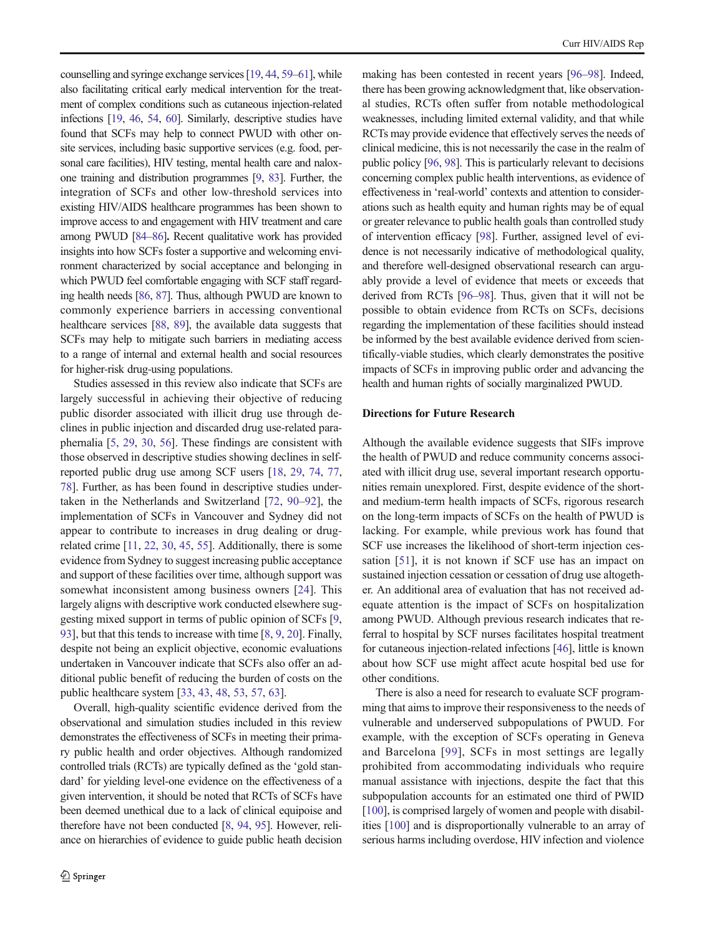counselling and syringe exchange services [\[19](#page-19-0), [44,](#page-20-0) [59](#page-21-0)–[61](#page-21-0)], while also facilitating critical early medical intervention for the treatment of complex conditions such as cutaneous injection-related infections [\[19](#page-19-0), [46,](#page-20-0) [54](#page-20-0), [60](#page-21-0)]. Similarly, descriptive studies have found that SCFs may help to connect PWUD with other onsite services, including basic supportive services (e.g. food, personal care facilities), HIV testing, mental health care and naloxone training and distribution programmes [\[9,](#page-19-0) [83](#page-21-0)]. Further, the integration of SCFs and other low-threshold services into existing HIV/AIDS healthcare programmes has been shown to improve access to and engagement with HIV treatment and care among PWUD [\[84](#page-21-0)–[86\]](#page-21-0). Recent qualitative work has provided insights into how SCFs foster a supportive and welcoming environment characterized by social acceptance and belonging in which PWUD feel comfortable engaging with SCF staff regarding health needs [\[86,](#page-21-0) [87](#page-21-0)]. Thus, although PWUD are known to commonly experience barriers in accessing conventional healthcare services [\[88,](#page-21-0) [89\]](#page-21-0), the available data suggests that SCFs may help to mitigate such barriers in mediating access to a range of internal and external health and social resources for higher-risk drug-using populations.

Studies assessed in this review also indicate that SCFs are largely successful in achieving their objective of reducing public disorder associated with illicit drug use through declines in public injection and discarded drug use-related paraphernalia [\[5](#page-19-0), [29,](#page-20-0) [30](#page-20-0), [56\]](#page-20-0). These findings are consistent with those observed in descriptive studies showing declines in selfreported public drug use among SCF users [[18](#page-19-0), [29](#page-20-0), [74,](#page-21-0) [77,](#page-21-0) [78\]](#page-21-0). Further, as has been found in descriptive studies undertaken in the Netherlands and Switzerland [[72,](#page-21-0) [90](#page-21-0)–[92\]](#page-22-0), the implementation of SCFs in Vancouver and Sydney did not appear to contribute to increases in drug dealing or drugrelated crime [\[11,](#page-19-0) [22,](#page-19-0) [30,](#page-20-0) [45](#page-20-0), [55](#page-20-0)]. Additionally, there is some evidence from Sydney to suggest increasing public acceptance and support of these facilities over time, although support was somewhat inconsistent among business owners [[24\]](#page-20-0). This largely aligns with descriptive work conducted elsewhere suggesting mixed support in terms of public opinion of SCFs [[9,](#page-19-0) [93\]](#page-22-0), but that this tends to increase with time [\[8](#page-19-0), [9,](#page-19-0) [20](#page-19-0)]. Finally, despite not being an explicit objective, economic evaluations undertaken in Vancouver indicate that SCFs also offer an additional public benefit of reducing the burden of costs on the public healthcare system [[33](#page-20-0), [43](#page-20-0), [48](#page-20-0), [53](#page-20-0), [57,](#page-20-0) [63\]](#page-21-0).

Overall, high-quality scientific evidence derived from the observational and simulation studies included in this review demonstrates the effectiveness of SCFs in meeting their primary public health and order objectives. Although randomized controlled trials (RCTs) are typically defined as the 'gold standard' for yielding level-one evidence on the effectiveness of a given intervention, it should be noted that RCTs of SCFs have been deemed unethical due to a lack of clinical equipoise and therefore have not been conducted [\[8](#page-19-0), [94](#page-22-0), [95](#page-22-0)]. However, reliance on hierarchies of evidence to guide public heath decision making has been contested in recent years [\[96](#page-22-0)–[98](#page-22-0)]. Indeed, there has been growing acknowledgment that, like observational studies, RCTs often suffer from notable methodological weaknesses, including limited external validity, and that while RCTs may provide evidence that effectively serves the needs of clinical medicine, this is not necessarily the case in the realm of public policy [\[96,](#page-22-0) [98](#page-22-0)]. This is particularly relevant to decisions concerning complex public health interventions, as evidence of effectiveness in 'real-world' contexts and attention to considerations such as health equity and human rights may be of equal or greater relevance to public health goals than controlled study of intervention efficacy [\[98](#page-22-0)]. Further, assigned level of evidence is not necessarily indicative of methodological quality, and therefore well-designed observational research can arguably provide a level of evidence that meets or exceeds that derived from RCTs [[96](#page-22-0)–[98](#page-22-0)]. Thus, given that it will not be possible to obtain evidence from RCTs on SCFs, decisions regarding the implementation of these facilities should instead be informed by the best available evidence derived from scientifically-viable studies, which clearly demonstrates the positive impacts of SCFs in improving public order and advancing the health and human rights of socially marginalized PWUD.

### Directions for Future Research

Although the available evidence suggests that SIFs improve the health of PWUD and reduce community concerns associated with illicit drug use, several important research opportunities remain unexplored. First, despite evidence of the shortand medium-term health impacts of SCFs, rigorous research on the long-term impacts of SCFs on the health of PWUD is lacking. For example, while previous work has found that SCF use increases the likelihood of short-term injection cessation [\[51](#page-20-0)], it is not known if SCF use has an impact on sustained injection cessation or cessation of drug use altogether. An additional area of evaluation that has not received adequate attention is the impact of SCFs on hospitalization among PWUD. Although previous research indicates that referral to hospital by SCF nurses facilitates hospital treatment for cutaneous injection-related infections [[46](#page-20-0)], little is known about how SCF use might affect acute hospital bed use for other conditions.

There is also a need for research to evaluate SCF programming that aims to improve their responsiveness to the needs of vulnerable and underserved subpopulations of PWUD. For example, with the exception of SCFs operating in Geneva and Barcelona [[99\]](#page-22-0), SCFs in most settings are legally prohibited from accommodating individuals who require manual assistance with injections, despite the fact that this subpopulation accounts for an estimated one third of PWID [\[100\]](#page-22-0), is comprised largely of women and people with disabilities [\[100](#page-22-0)] and is disproportionally vulnerable to an array of serious harms including overdose, HIV infection and violence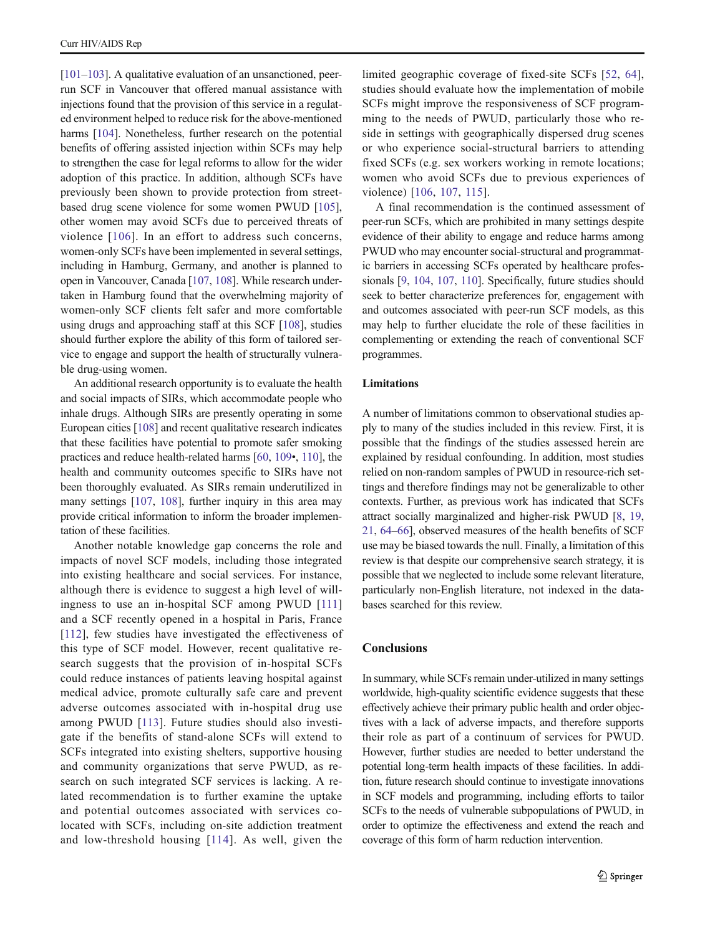[\[101](#page-22-0)–[103](#page-22-0)]. A qualitative evaluation of an unsanctioned, peerrun SCF in Vancouver that offered manual assistance with injections found that the provision of this service in a regulated environment helped to reduce risk for the above-mentioned harms [[104\]](#page-22-0). Nonetheless, further research on the potential benefits of offering assisted injection within SCFs may help to strengthen the case for legal reforms to allow for the wider adoption of this practice. In addition, although SCFs have previously been shown to provide protection from streetbased drug scene violence for some women PWUD [[105](#page-22-0)], other women may avoid SCFs due to perceived threats of violence [[106\]](#page-22-0). In an effort to address such concerns, women-only SCFs have been implemented in several settings, including in Hamburg, Germany, and another is planned to open in Vancouver, Canada [\[107,](#page-22-0) [108](#page-22-0)]. While research undertaken in Hamburg found that the overwhelming majority of women-only SCF clients felt safer and more comfortable using drugs and approaching staff at this SCF [[108\]](#page-22-0), studies should further explore the ability of this form of tailored service to engage and support the health of structurally vulnerable drug-using women.

An additional research opportunity is to evaluate the health and social impacts of SIRs, which accommodate people who inhale drugs. Although SIRs are presently operating in some European cities [[108\]](#page-22-0) and recent qualitative research indicates that these facilities have potential to promote safer smoking practices and reduce health-related harms [\[60,](#page-21-0) [109](#page-22-0)•, [110](#page-22-0)], the health and community outcomes specific to SIRs have not been thoroughly evaluated. As SIRs remain underutilized in many settings [[107,](#page-22-0) [108](#page-22-0)], further inquiry in this area may provide critical information to inform the broader implementation of these facilities.

Another notable knowledge gap concerns the role and impacts of novel SCF models, including those integrated into existing healthcare and social services. For instance, although there is evidence to suggest a high level of willingness to use an in-hospital SCF among PWUD [[111\]](#page-22-0) and a SCF recently opened in a hospital in Paris, France [\[112](#page-22-0)], few studies have investigated the effectiveness of this type of SCF model. However, recent qualitative research suggests that the provision of in-hospital SCFs could reduce instances of patients leaving hospital against medical advice, promote culturally safe care and prevent adverse outcomes associated with in-hospital drug use among PWUD [[113\]](#page-22-0). Future studies should also investigate if the benefits of stand-alone SCFs will extend to SCFs integrated into existing shelters, supportive housing and community organizations that serve PWUD, as research on such integrated SCF services is lacking. A related recommendation is to further examine the uptake and potential outcomes associated with services colocated with SCFs, including on-site addiction treatment and low-threshold housing [[114\]](#page-22-0). As well, given the

limited geographic coverage of fixed-site SCFs [[52,](#page-20-0) [64](#page-21-0)], studies should evaluate how the implementation of mobile SCFs might improve the responsiveness of SCF programming to the needs of PWUD, particularly those who reside in settings with geographically dispersed drug scenes or who experience social-structural barriers to attending fixed SCFs (e.g. sex workers working in remote locations; women who avoid SCFs due to previous experiences of violence) [[106,](#page-22-0) [107](#page-22-0), [115](#page-22-0)].

A final recommendation is the continued assessment of peer-run SCFs, which are prohibited in many settings despite evidence of their ability to engage and reduce harms among PWUD who may encounter social-structural and programmatic barriers in accessing SCFs operated by healthcare professionals [\[9,](#page-19-0) [104,](#page-22-0) [107,](#page-22-0) [110\]](#page-22-0). Specifically, future studies should seek to better characterize preferences for, engagement with and outcomes associated with peer-run SCF models, as this may help to further elucidate the role of these facilities in complementing or extending the reach of conventional SCF programmes.

### Limitations

A number of limitations common to observational studies apply to many of the studies included in this review. First, it is possible that the findings of the studies assessed herein are explained by residual confounding. In addition, most studies relied on non-random samples of PWUD in resource-rich settings and therefore findings may not be generalizable to other contexts. Further, as previous work has indicated that SCFs attract socially marginalized and higher-risk PWUD [[8,](#page-19-0) [19,](#page-19-0) [21,](#page-19-0) [64](#page-21-0)–[66\]](#page-21-0), observed measures of the health benefits of SCF use may be biased towards the null. Finally, a limitation of this review is that despite our comprehensive search strategy, it is possible that we neglected to include some relevant literature, particularly non-English literature, not indexed in the databases searched for this review.

### **Conclusions**

In summary, while SCFs remain under-utilized in many settings worldwide, high-quality scientific evidence suggests that these effectively achieve their primary public health and order objectives with a lack of adverse impacts, and therefore supports their role as part of a continuum of services for PWUD. However, further studies are needed to better understand the potential long-term health impacts of these facilities. In addition, future research should continue to investigate innovations in SCF models and programming, including efforts to tailor SCFs to the needs of vulnerable subpopulations of PWUD, in order to optimize the effectiveness and extend the reach and coverage of this form of harm reduction intervention.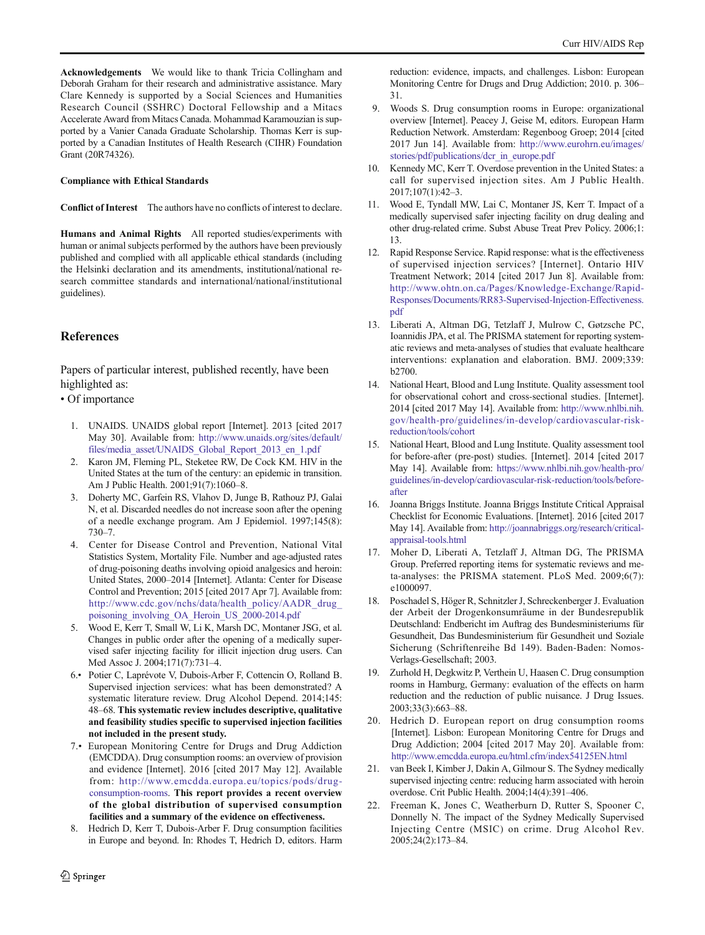<span id="page-19-0"></span>Acknowledgements We would like to thank Tricia Collingham and Deborah Graham for their research and administrative assistance. Mary Clare Kennedy is supported by a Social Sciences and Humanities Research Council (SSHRC) Doctoral Fellowship and a Mitacs Accelerate Award from Mitacs Canada. Mohammad Karamouzian is supported by a Vanier Canada Graduate Scholarship. Thomas Kerr is supported by a Canadian Institutes of Health Research (CIHR) Foundation Grant (20R74326).

### Compliance with Ethical Standards

Conflict of Interest The authors have no conflicts of interest to declare.

Humans and Animal Rights All reported studies/experiments with human or animal subjects performed by the authors have been previously published and complied with all applicable ethical standards (including the Helsinki declaration and its amendments, institutional/national research committee standards and international/national/institutional guidelines).

### **References**

Papers of particular interest, published recently, have been highlighted as:

- Of importance
	- 1. UNAIDS. UNAIDS global report [Internet]. 2013 [cited 2017 May 30]. Available from: [http://www.unaids.org/sites/default/](http://www.unaids.org/sites/default/files/media_asset/UNAIDS_Global_Report_2013_en_1.pdf) [files/media\\_asset/UNAIDS\\_Global\\_Report\\_2013\\_en\\_1.pdf](http://www.unaids.org/sites/default/files/media_asset/UNAIDS_Global_Report_2013_en_1.pdf)
	- 2. Karon JM, Fleming PL, Steketee RW, De Cock KM. HIV in the United States at the turn of the century: an epidemic in transition. Am J Public Health. 2001;91(7):1060–8.
	- 3. Doherty MC, Garfein RS, Vlahov D, Junge B, Rathouz PJ, Galai N, et al. Discarded needles do not increase soon after the opening of a needle exchange program. Am J Epidemiol. 1997;145(8): 730–7.
	- 4. Center for Disease Control and Prevention, National Vital Statistics System, Mortality File. Number and age-adjusted rates of drug-poisoning deaths involving opioid analgesics and heroin: United States, 2000–2014 [Internet]. Atlanta: Center for Disease Control and Prevention; 2015 [cited 2017 Apr 7]. Available from: [http://www.cdc.gov/nchs/data/health\\_policy/AADR\\_drug\\_](http://www.cdc.gov/nchs/data/health_policy/AADR_drug_poisoning_involving_OA_Heroin_US_2000-2014.pdf) [poisoning\\_involving\\_OA\\_Heroin\\_US\\_2000-2014.pdf](http://www.cdc.gov/nchs/data/health_policy/AADR_drug_poisoning_involving_OA_Heroin_US_2000-2014.pdf)
	- 5. Wood E, Kerr T, Small W, Li K, Marsh DC, Montaner JSG, et al. Changes in public order after the opening of a medically supervised safer injecting facility for illicit injection drug users. Can Med Assoc J. 2004;171(7):731–4.
	- 6.• Potier C, Laprévote V, Dubois-Arber F, Cottencin O, Rolland B. Supervised injection services: what has been demonstrated? A systematic literature review. Drug Alcohol Depend. 2014;145: 48–68. This systematic review includes descriptive, qualitative and feasibility studies specific to supervised injection facilities not included in the present study.
	- 7.• European Monitoring Centre for Drugs and Drug Addiction (EMCDDA). Drug consumption rooms: an overview of provision and evidence [Internet]. 2016 [cited 2017 May 12]. Available from: [http://www.emcdda.europa.eu/topics/pods/drug](http://www.emcdda.europa.eu/topics/pods/drug-consumption-rooms)[consumption-rooms.](http://www.emcdda.europa.eu/topics/pods/drug-consumption-rooms) This report provides a recent overview of the global distribution of supervised consumption facilities and a summary of the evidence on effectiveness.
	- 8. Hedrich D, Kerr T, Dubois-Arber F. Drug consumption facilities in Europe and beyond. In: Rhodes T, Hedrich D, editors. Harm

reduction: evidence, impacts, and challenges. Lisbon: European Monitoring Centre for Drugs and Drug Addiction; 2010. p. 306– 31.

- 9. Woods S. Drug consumption rooms in Europe: organizational overview [Internet]. Peacey J, Geise M, editors. European Harm Reduction Network. Amsterdam: Regenboog Groep; 2014 [cited 2017 Jun 14]. Available from: [http://www.eurohrn.eu/images/](http://www.eurohrn.eu/images/stories/pdf/publications/dcr_in_europe.pdf) [stories/pdf/publications/dcr\\_in\\_europe.pdf](http://www.eurohrn.eu/images/stories/pdf/publications/dcr_in_europe.pdf)
- 10. Kennedy MC, Kerr T. Overdose prevention in the United States: a call for supervised injection sites. Am J Public Health. 2017;107(1):42–3.
- 11. Wood E, Tyndall MW, Lai C, Montaner JS, Kerr T. Impact of a medically supervised safer injecting facility on drug dealing and other drug-related crime. Subst Abuse Treat Prev Policy. 2006;1: 13.
- 12. Rapid Response Service. Rapid response: what is the effectiveness of supervised injection services? [Internet]. Ontario HIV Treatment Network; 2014 [cited 2017 Jun 8]. Available from: [http://www.ohtn.on.ca/Pages/Knowledge-Exchange/Rapid-](http://www.ohtn.on.ca/Pages/Knowledge-Exchange/Rapid-Responses/Documents/RR83-Supervised-Injection-Effectiveness.pdf)[Responses/Documents/RR83-Supervised-Injection-Effectiveness.](http://www.ohtn.on.ca/Pages/Knowledge-Exchange/Rapid-Responses/Documents/RR83-Supervised-Injection-Effectiveness.pdf) [pdf](http://www.ohtn.on.ca/Pages/Knowledge-Exchange/Rapid-Responses/Documents/RR83-Supervised-Injection-Effectiveness.pdf)
- 13. Liberati A, Altman DG, Tetzlaff J, Mulrow C, Gøtzsche PC, Ioannidis JPA, et al. The PRISMA statement for reporting systematic reviews and meta-analyses of studies that evaluate healthcare interventions: explanation and elaboration. BMJ. 2009;339: b2700.
- 14. National Heart, Blood and Lung Institute. Quality assessment tool for observational cohort and cross-sectional studies. [Internet]. 2014 [cited 2017 May 14]. Available from: [http://www.nhlbi.nih.](http://www.nhlbi.nih.gov/health-pro/guidelines/in-develop/cardiovascular-risk-reduction/tools/cohort) [gov/health-pro/guidelines/in-develop/cardiovascular-risk](http://www.nhlbi.nih.gov/health-pro/guidelines/in-develop/cardiovascular-risk-reduction/tools/cohort)[reduction/tools/cohort](http://www.nhlbi.nih.gov/health-pro/guidelines/in-develop/cardiovascular-risk-reduction/tools/cohort)
- 15. National Heart, Blood and Lung Institute. Quality assessment tool for before-after (pre-post) studies. [Internet]. 2014 [cited 2017 May 14]. Available from: [https://www.nhlbi.nih.gov/health-pro/](https://www.nhlbi.nih.gov/health-pro/guidelines/in-develop/cardiovascular-risk-reduction/tools/before-after) [guidelines/in-develop/cardiovascular-risk-reduction/tools/before](https://www.nhlbi.nih.gov/health-pro/guidelines/in-develop/cardiovascular-risk-reduction/tools/before-after)[after](https://www.nhlbi.nih.gov/health-pro/guidelines/in-develop/cardiovascular-risk-reduction/tools/before-after)
- 16. Joanna Briggs Institute. Joanna Briggs Institute Critical Appraisal Checklist for Economic Evaluations. [Internet]. 2016 [cited 2017 May 14]. Available from: [http://joannabriggs.org/research/critical](http://joannabriggs.org/research/critical-appraisal-tools.html)[appraisal-tools.html](http://joannabriggs.org/research/critical-appraisal-tools.html)
- 17. Moher D, Liberati A, Tetzlaff J, Altman DG, The PRISMA Group. Preferred reporting items for systematic reviews and meta-analyses: the PRISMA statement. PLoS Med. 2009;6(7): e1000097.
- 18. Poschadel S, Höger R, Schnitzler J, Schreckenberger J. Evaluation der Arbeit der Drogenkonsumräume in der Bundesrepublik Deutschland: Endbericht im Auftrag des Bundesministeriums für Gesundheit, Das Bundesministerium für Gesundheit und Soziale Sicherung (Schriftenreihe Bd 149). Baden-Baden: Nomos-Verlags-Gesellschaft; 2003.
- 19. Zurhold H, Degkwitz P, Verthein U, Haasen C. Drug consumption rooms in Hamburg, Germany: evaluation of the effects on harm reduction and the reduction of public nuisance. J Drug Issues. 2003;33(3):663–88.
- 20. Hedrich D. European report on drug consumption rooms [Internet]. Lisbon: European Monitoring Centre for Drugs and Drug Addiction; 2004 [cited 2017 May 20]. Available from: <http://www.emcdda.europa.eu/html.cfm/index54125EN.html>
- 21. van Beek I, Kimber J, Dakin A, Gilmour S. The Sydney medically supervised injecting centre: reducing harm associated with heroin overdose. Crit Public Health. 2004;14(4):391–406.
- 22. Freeman K, Jones C, Weatherburn D, Rutter S, Spooner C, Donnelly N. The impact of the Sydney Medically Supervised Injecting Centre (MSIC) on crime. Drug Alcohol Rev. 2005;24(2):173–84.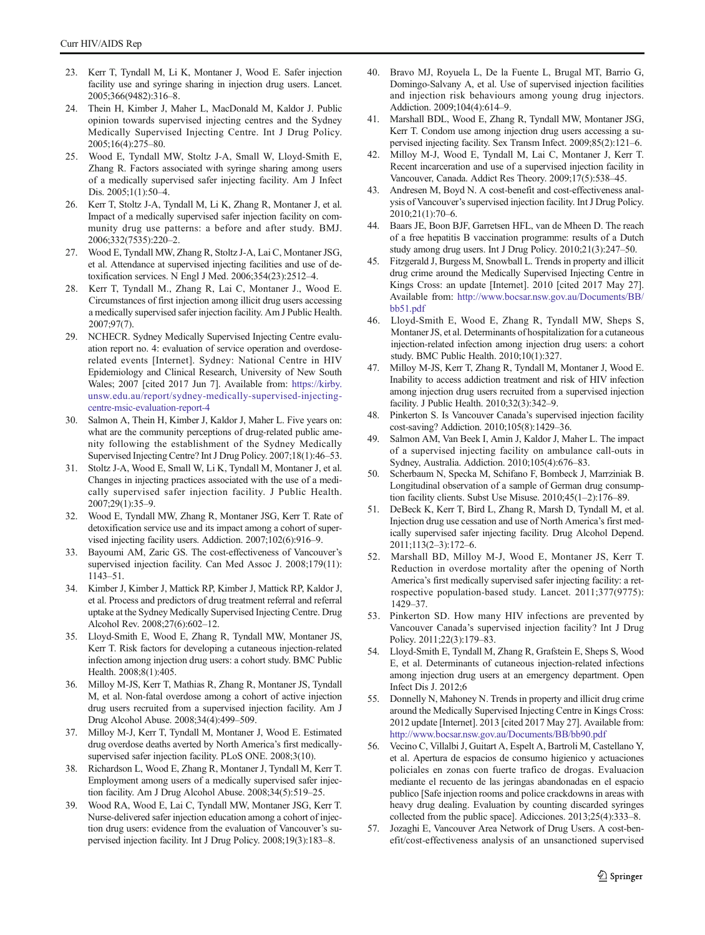- <span id="page-20-0"></span>23. Kerr T, Tyndall M, Li K, Montaner J, Wood E. Safer injection facility use and syringe sharing in injection drug users. Lancet. 2005;366(9482):316–8.
- 24. Thein H, Kimber J, Maher L, MacDonald M, Kaldor J. Public opinion towards supervised injecting centres and the Sydney Medically Supervised Injecting Centre. Int J Drug Policy. 2005;16(4):275–80.
- 25. Wood E, Tyndall MW, Stoltz J-A, Small W, Lloyd-Smith E, Zhang R. Factors associated with syringe sharing among users of a medically supervised safer injecting facility. Am J Infect Dis. 2005;1(1):50–4.
- 26. Kerr T, Stoltz J-A, Tyndall M, Li K, Zhang R, Montaner J, et al. Impact of a medically supervised safer injection facility on community drug use patterns: a before and after study. BMJ. 2006;332(7535):220–2.
- 27. Wood E, Tyndall MW, Zhang R, Stoltz J-A, Lai C, Montaner JSG, et al. Attendance at supervised injecting facilities and use of detoxification services. N Engl J Med. 2006;354(23):2512–4.
- 28. Kerr T, Tyndall M., Zhang R, Lai C, Montaner J., Wood E. Circumstances of first injection among illicit drug users accessing a medically supervised safer injection facility. Am J Public Health. 2007;97(7).
- 29. NCHECR. Sydney Medically Supervised Injecting Centre evaluation report no. 4: evaluation of service operation and overdoserelated events [Internet]. Sydney: National Centre in HIV Epidemiology and Clinical Research, University of New South Wales; 2007 [cited 2017 Jun 7]. Available from: [https://kirby.](https://kirby.unsw.edu.au/report/sydney-medically-supervised-injecting-centre-msic-evaluation-report-4) [unsw.edu.au/report/sydney-medically-supervised-injecting](https://kirby.unsw.edu.au/report/sydney-medically-supervised-injecting-centre-msic-evaluation-report-4)[centre-msic-evaluation-report-4](https://kirby.unsw.edu.au/report/sydney-medically-supervised-injecting-centre-msic-evaluation-report-4)
- Salmon A, Thein H, Kimber J, Kaldor J, Maher L. Five years on: what are the community perceptions of drug-related public amenity following the establishment of the Sydney Medically Supervised Injecting Centre? Int J Drug Policy. 2007;18(1):46–53.
- 31. Stoltz J-A, Wood E, Small W, Li K, Tyndall M, Montaner J, et al. Changes in injecting practices associated with the use of a medically supervised safer injection facility. J Public Health. 2007;29(1):35–9.
- 32. Wood E, Tyndall MW, Zhang R, Montaner JSG, Kerr T. Rate of detoxification service use and its impact among a cohort of supervised injecting facility users. Addiction. 2007;102(6):916–9.
- 33. Bayoumi AM, Zaric GS. The cost-effectiveness of Vancouver's supervised injection facility. Can Med Assoc J. 2008;179(11): 1143–51.
- 34. Kimber J, Kimber J, Mattick RP, Kimber J, Mattick RP, Kaldor J, et al. Process and predictors of drug treatment referral and referral uptake at the Sydney Medically Supervised Injecting Centre. Drug Alcohol Rev. 2008;27(6):602–12.
- 35. Lloyd-Smith E, Wood E, Zhang R, Tyndall MW, Montaner JS, Kerr T. Risk factors for developing a cutaneous injection-related infection among injection drug users: a cohort study. BMC Public Health. 2008;8(1):405.
- 36. Milloy M-JS, Kerr T, Mathias R, Zhang R, Montaner JS, Tyndall M, et al. Non-fatal overdose among a cohort of active injection drug users recruited from a supervised injection facility. Am J Drug Alcohol Abuse. 2008;34(4):499–509.
- 37. Milloy M-J, Kerr T, Tyndall M, Montaner J, Wood E. Estimated drug overdose deaths averted by North America's first medicallysupervised safer injection facility. PLoS ONE. 2008;3(10).
- 38. Richardson L, Wood E, Zhang R, Montaner J, Tyndall M, Kerr T. Employment among users of a medically supervised safer injection facility. Am J Drug Alcohol Abuse. 2008;34(5):519–25.
- 39. Wood RA, Wood E, Lai C, Tyndall MW, Montaner JSG, Kerr T. Nurse-delivered safer injection education among a cohort of injection drug users: evidence from the evaluation of Vancouver's supervised injection facility. Int J Drug Policy. 2008;19(3):183–8.
- 40. Bravo MJ, Royuela L, De la Fuente L, Brugal MT, Barrio G, Domingo-Salvany A, et al. Use of supervised injection facilities and injection risk behaviours among young drug injectors. Addiction. 2009;104(4):614–9.
- 41. Marshall BDL, Wood E, Zhang R, Tyndall MW, Montaner JSG, Kerr T. Condom use among injection drug users accessing a supervised injecting facility. Sex Transm Infect. 2009;85(2):121–6.
- 42. Milloy M-J, Wood E, Tyndall M, Lai C, Montaner J, Kerr T. Recent incarceration and use of a supervised injection facility in Vancouver, Canada. Addict Res Theory. 2009;17(5):538–45.
- Andresen M, Boyd N. A cost-benefit and cost-effectiveness analysis of Vancouver's supervised injection facility. Int J Drug Policy. 2010;21(1):70–6.
- 44. Baars JE, Boon BJF, Garretsen HFL, van de Mheen D. The reach of a free hepatitis B vaccination programme: results of a Dutch study among drug users. Int J Drug Policy. 2010;21(3):247–50.
- 45. Fitzgerald J, Burgess M, Snowball L. Trends in property and illicit drug crime around the Medically Supervised Injecting Centre in Kings Cross: an update [Internet]. 2010 [cited 2017 May 27]. Available from: [http://www.bocsar.nsw.gov.au/Documents/BB/](http://www.bocsar.nsw.gov.au/Documents/BB/bb51.pdf) [bb51.pdf](http://www.bocsar.nsw.gov.au/Documents/BB/bb51.pdf)
- 46. Lloyd-Smith E, Wood E, Zhang R, Tyndall MW, Sheps S, Montaner JS, et al. Determinants of hospitalization for a cutaneous injection-related infection among injection drug users: a cohort study. BMC Public Health. 2010;10(1):327.
- 47. Milloy M-JS, Kerr T, Zhang R, Tyndall M, Montaner J, Wood E. Inability to access addiction treatment and risk of HIV infection among injection drug users recruited from a supervised injection facility. J Public Health. 2010;32(3):342–9.
- 48. Pinkerton S. Is Vancouver Canada's supervised injection facility cost-saving? Addiction. 2010;105(8):1429–36.
- 49. Salmon AM, Van Beek I, Amin J, Kaldor J, Maher L. The impact of a supervised injecting facility on ambulance call-outs in Sydney, Australia. Addiction. 2010;105(4):676–83.
- 50. Scherbaum N, Specka M, Schifano F, Bombeck J, Marrziniak B. Longitudinal observation of a sample of German drug consumption facility clients. Subst Use Misuse. 2010;45(1–2):176–89.
- 51. DeBeck K, Kerr T, Bird L, Zhang R, Marsh D, Tyndall M, et al. Injection drug use cessation and use of North America's first medically supervised safer injecting facility. Drug Alcohol Depend. 2011;113(2–3):172–6.
- 52. Marshall BD, Milloy M-J, Wood E, Montaner JS, Kerr T. Reduction in overdose mortality after the opening of North America's first medically supervised safer injecting facility: a retrospective population-based study. Lancet. 2011;377(9775): 1429–37.
- 53. Pinkerton SD. How many HIV infections are prevented by Vancouver Canada's supervised injection facility? Int J Drug Policy. 2011;22(3):179–83.
- 54. Lloyd-Smith E, Tyndall M, Zhang R, Grafstein E, Sheps S, Wood E, et al. Determinants of cutaneous injection-related infections among injection drug users at an emergency department. Open Infect Dis J. 2012;6
- 55. Donnelly N, Mahoney N. Trends in property and illicit drug crime around the Medically Supervised Injecting Centre in Kings Cross: 2012 update [Internet]. 2013 [cited 2017 May 27]. Available from: <http://www.bocsar.nsw.gov.au/Documents/BB/bb90.pdf>
- 56. Vecino C, Villalbi J, Guitart A, Espelt A, Bartroli M, Castellano Y, et al. Apertura de espacios de consumo higienico y actuaciones policiales en zonas con fuerte trafico de drogas. Evaluacion mediante el recuento de las jeringas abandonadas en el espacio publico [Safe injection rooms and police crackdowns in areas with heavy drug dealing. Evaluation by counting discarded syringes collected from the public space]. Adicciones. 2013;25(4):333–8.
- 57. Jozaghi E, Vancouver Area Network of Drug Users. A cost-benefit/cost-effectiveness analysis of an unsanctioned supervised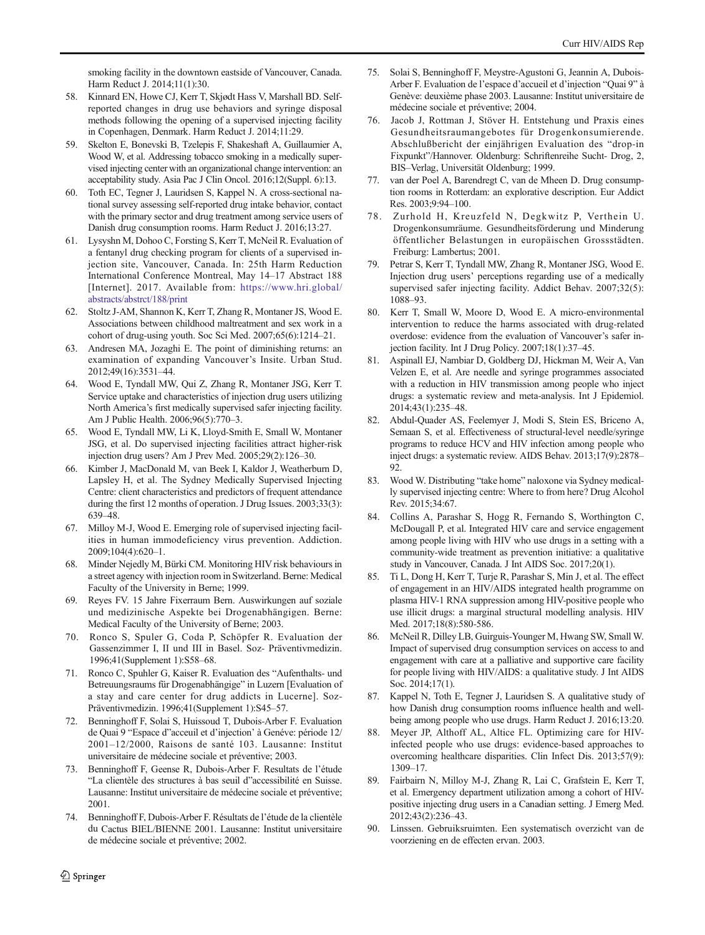<span id="page-21-0"></span>smoking facility in the downtown eastside of Vancouver, Canada. Harm Reduct J. 2014;11(1):30.

- 58. Kinnard EN, Howe CJ, Kerr T, Skjødt Hass V, Marshall BD. Selfreported changes in drug use behaviors and syringe disposal methods following the opening of a supervised injecting facility in Copenhagen, Denmark. Harm Reduct J. 2014;11:29.
- 59. Skelton E, Bonevski B, Tzelepis F, Shakeshaft A, Guillaumier A, Wood W, et al. Addressing tobacco smoking in a medically supervised injecting center with an organizational change intervention: an acceptability study. Asia Pac J Clin Oncol. 2016;12(Suppl. 6):13.
- 60. Toth EC, Tegner J, Lauridsen S, Kappel N. A cross-sectional national survey assessing self-reported drug intake behavior, contact with the primary sector and drug treatment among service users of Danish drug consumption rooms. Harm Reduct J. 2016;13:27.
- 61. Lysyshn M, Dohoo C, Forsting S, Kerr T, McNeil R. Evaluation of a fentanyl drug checking program for clients of a supervised injection site, Vancouver, Canada. In: 25th Harm Reduction International Conference Montreal, May 14–17 Abstract 188 [Internet]. 2017. Available from: [https://www.hri.global/](https://www.hri.global/abstracts/abstrct/188/print) [abstracts/abstrct/188/print](https://www.hri.global/abstracts/abstrct/188/print)
- 62. Stoltz J-AM, Shannon K, Kerr T, Zhang R, Montaner JS, Wood E. Associations between childhood maltreatment and sex work in a cohort of drug-using youth. Soc Sci Med. 2007;65(6):1214–21.
- 63. Andresen MA, Jozaghi E. The point of diminishing returns: an examination of expanding Vancouver's Insite. Urban Stud. 2012;49(16):3531–44.
- 64. Wood E, Tyndall MW, Qui Z, Zhang R, Montaner JSG, Kerr T. Service uptake and characteristics of injection drug users utilizing North America's first medically supervised safer injecting facility. Am J Public Health. 2006;96(5):770–3.
- 65. Wood E, Tyndall MW, Li K, Lloyd-Smith E, Small W, Montaner JSG, et al. Do supervised injecting facilities attract higher-risk injection drug users? Am J Prev Med. 2005;29(2):126–30.
- 66. Kimber J, MacDonald M, van Beek I, Kaldor J, Weatherburn D, Lapsley H, et al. The Sydney Medically Supervised Injecting Centre: client characteristics and predictors of frequent attendance during the first 12 months of operation. J Drug Issues. 2003;33(3): 639–48.
- 67. Milloy M-J, Wood E. Emerging role of supervised injecting facilities in human immodeficiency virus prevention. Addiction. 2009;104(4):620–1.
- 68. Minder Nejedly M, Bürki CM. Monitoring HIV risk behaviours in a street agency with injection room in Switzerland. Berne: Medical Faculty of the University in Berne; 1999.
- 69. Reyes FV. 15 Jahre Fixerraum Bern. Auswirkungen auf soziale und medizinische Aspekte bei Drogenabhängigen. Berne: Medical Faculty of the University of Berne; 2003.
- 70. Ronco S, Spuler G, Coda P, Schöpfer R. Evaluation der Gassenzimmer I, II und III in Basel. Soz- Präventivmedizin. 1996;41(Supplement 1):S58–68.
- 71. Ronco C, Spuhler G, Kaiser R. Evaluation des "Aufenthalts- und Betreuungsraums für Drogenabhängige" in Luzern [Evaluation of a stay and care center for drug addicts in Lucerne]. Soz-Präventivmedizin. 1996;41(Supplement 1):S45–57.
- 72. Benninghoff F, Solai S, Huissoud T, Dubois-Arber F. Evaluation de Quai 9 "Espace d"acceuil et d'injection' à Genéve: période 12/ 2001–12/2000, Raisons de santé 103. Lausanne: Institut universitaire de médecine sociale et préventive; 2003.
- 73. Benninghoff F, Geense R, Dubois-Arber F. Resultats de l'étude "La clientèle des structures à bas seuil d"accessibilité en Suisse. Lausanne: Institut universitaire de médecine sociale et préventive; 2001.
- 74. Benninghoff F, Dubois-Arber F. Résultats de l'étude de la clientèle du Cactus BIEL/BIENNE 2001. Lausanne: Institut universitaire de médecine sociale et préventive; 2002.
- 75. Solai S, Benninghoff F, Meystre-Agustoni G, Jeannin A, Dubois-Arber F. Evaluation de l'espace d'accueil et d'injection "Quai 9" à Genève: deuxième phase 2003. Lausanne: Institut universitaire de médecine sociale et préventive; 2004.
- 76. Jacob J, Rottman J, Stöver H. Entstehung und Praxis eines Gesundheitsraumangebotes für Drogenkonsumierende. Abschlußbericht der einjährigen Evaluation des "drop-in Fixpunkt"/Hannover. Oldenburg: Schriftenreihe Sucht- Drog, 2, BIS–Verlag, Universität Oldenburg; 1999.
- 77. van der Poel A, Barendregt C, van de Mheen D. Drug consumption rooms in Rotterdam: an explorative description. Eur Addict Res. 2003;9:94–100.
- 78. Zurhold H, Kreuzfeld N, Degkwitz P, Verthein U. Drogenkonsumräume. Gesundheitsförderung und Minderung öffentlicher Belastungen in europäischen Grossstädten. Freiburg: Lambertus; 2001.
- 79. Petrar S, Kerr T, Tyndall MW, Zhang R, Montaner JSG, Wood E. Injection drug users' perceptions regarding use of a medically supervised safer injecting facility. Addict Behav. 2007;32(5): 1088–93.
- 80. Kerr T, Small W, Moore D, Wood E. A micro-environmental intervention to reduce the harms associated with drug-related overdose: evidence from the evaluation of Vancouver's safer injection facility. Int J Drug Policy. 2007;18(1):37–45.
- 81. Aspinall EJ, Nambiar D, Goldberg DJ, Hickman M, Weir A, Van Velzen E, et al. Are needle and syringe programmes associated with a reduction in HIV transmission among people who inject drugs: a systematic review and meta-analysis. Int J Epidemiol. 2014;43(1):235–48.
- 82. Abdul-Quader AS, Feelemyer J, Modi S, Stein ES, Briceno A, Semaan S, et al. Effectiveness of structural-level needle/syringe programs to reduce HCV and HIV infection among people who inject drugs: a systematic review. AIDS Behav. 2013;17(9):2878– 92.
- 83. Wood W. Distributing "take home" naloxone via Sydney medically supervised injecting centre: Where to from here? Drug Alcohol Rev. 2015;34:67.
- Collins A, Parashar S, Hogg R, Fernando S, Worthington C, McDougall P, et al. Integrated HIV care and service engagement among people living with HIV who use drugs in a setting with a community-wide treatment as prevention initiative: a qualitative study in Vancouver, Canada. J Int AIDS Soc. 2017;20(1).
- 85. Ti L, Dong H, Kerr T, Turje R, Parashar S, Min J, et al. The effect of engagement in an HIV/AIDS integrated health programme on plasma HIV-1 RNA suppression among HIV-positive people who use illicit drugs: a marginal structural modelling analysis. HIV Med. 2017;18(8):580-586.
- 86. McNeil R, Dilley LB, Guirguis-Younger M, Hwang SW, Small W. Impact of supervised drug consumption services on access to and engagement with care at a palliative and supportive care facility for people living with HIV/AIDS: a qualitative study. J Int AIDS Soc. 2014;17(1).
- 87. Kappel N, Toth E, Tegner J, Lauridsen S. A qualitative study of how Danish drug consumption rooms influence health and wellbeing among people who use drugs. Harm Reduct J. 2016;13:20.
- 88. Meyer JP, Althoff AL, Altice FL. Optimizing care for HIVinfected people who use drugs: evidence-based approaches to overcoming healthcare disparities. Clin Infect Dis. 2013;57(9): 1309–17.
- 89. Fairbairn N, Milloy M-J, Zhang R, Lai C, Grafstein E, Kerr T, et al. Emergency department utilization among a cohort of HIVpositive injecting drug users in a Canadian setting. J Emerg Med. 2012;43(2):236–43.
- 90. Linssen. Gebruiksruimten. Een systematisch overzicht van de voorziening en de effecten ervan. 2003.